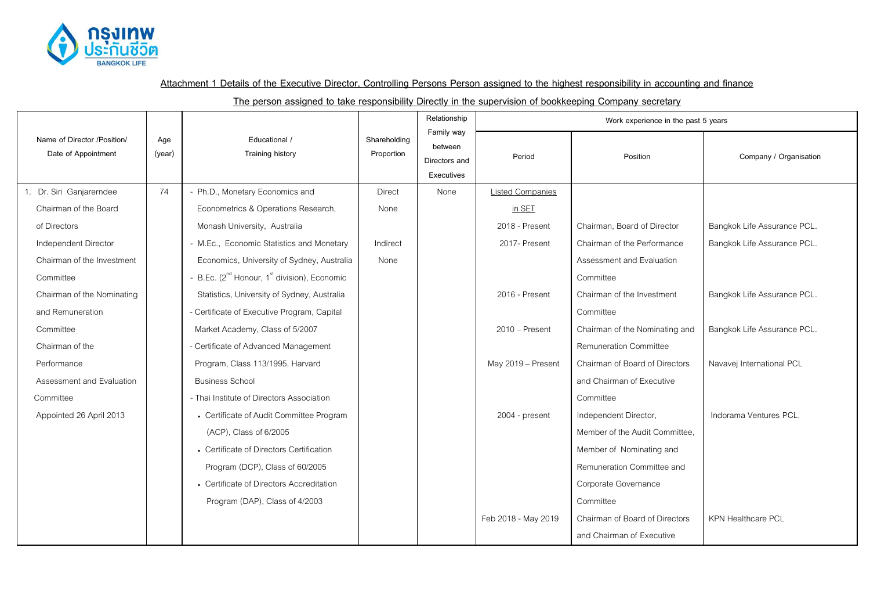

**Attachment 1 Details of the Executive Director, Controlling Persons Person assigned to the highest responsibility in accounting and finance**

**The person assigned to take responsibility Directly in the supervision of bookkeeping Company secretary**

|                                                    |               | Educational /<br><b>Training history</b>                             | Shareholding<br>Proportion | Relationship                                         | Work experience in the past 5 years |                                |                             |  |
|----------------------------------------------------|---------------|----------------------------------------------------------------------|----------------------------|------------------------------------------------------|-------------------------------------|--------------------------------|-----------------------------|--|
| Name of Director /Position/<br>Date of Appointment | Age<br>(year) |                                                                      |                            | Family way<br>between<br>Directors and<br>Executives | Period                              | Position                       | Company / Organisation      |  |
| 1. Dr. Siri Ganjarerndee                           | 74            | - Ph.D., Monetary Economics and                                      | <b>Direct</b>              | None                                                 | <b>Listed Companies</b>             |                                |                             |  |
| Chairman of the Board                              |               | Econometrics & Operations Research,                                  | None                       |                                                      | in SET                              |                                |                             |  |
| of Directors                                       |               | Monash University, Australia                                         |                            |                                                      | 2018 - Present                      | Chairman, Board of Director    | Bangkok Life Assurance PCL. |  |
| Independent Director                               |               | - M.Ec., Economic Statistics and Monetary                            | Indirect                   |                                                      | 2017- Present                       | Chairman of the Performance    | Bangkok Life Assurance PCL. |  |
| Chairman of the Investment                         |               | Economics, University of Sydney, Australia                           | None                       |                                                      |                                     | Assessment and Evaluation      |                             |  |
| Committee                                          |               | - B.Ec. (2 <sup>nd</sup> Honour, 1 <sup>st</sup> division), Economic |                            |                                                      |                                     | Committee                      |                             |  |
| Chairman of the Nominating                         |               | Statistics, University of Sydney, Australia                          |                            |                                                      | 2016 - Present                      | Chairman of the Investment     | Bangkok Life Assurance PCL. |  |
| and Remuneration                                   |               | - Certificate of Executive Program, Capital                          |                            |                                                      |                                     | Committee                      |                             |  |
| Committee                                          |               | Market Academy, Class of 5/2007                                      |                            |                                                      | $2010 -$ Present                    | Chairman of the Nominating and | Bangkok Life Assurance PCL. |  |
| Chairman of the                                    |               | - Certificate of Advanced Management                                 |                            |                                                      |                                     | <b>Remuneration Committee</b>  |                             |  |
| Performance                                        |               | Program, Class 113/1995, Harvard                                     |                            |                                                      | May 2019 - Present                  | Chairman of Board of Directors | Navavej International PCL   |  |
| Assessment and Evaluation                          |               | <b>Business School</b>                                               |                            |                                                      |                                     | and Chairman of Executive      |                             |  |
| Committee                                          |               | - Thai Institute of Directors Association                            |                            |                                                      |                                     | Committee                      |                             |  |
| Appointed 26 April 2013                            |               | • Certificate of Audit Committee Program                             |                            |                                                      | 2004 - present                      | Independent Director,          | Indorama Ventures PCL.      |  |
|                                                    |               | (ACP), Class of 6/2005                                               |                            |                                                      |                                     | Member of the Audit Committee. |                             |  |
|                                                    |               | • Certificate of Directors Certification                             |                            |                                                      |                                     | Member of Nominating and       |                             |  |
|                                                    |               | Program (DCP), Class of 60/2005                                      |                            |                                                      |                                     | Remuneration Committee and     |                             |  |
|                                                    |               | • Certificate of Directors Accreditation                             |                            |                                                      |                                     | Corporate Governance           |                             |  |
|                                                    |               | Program (DAP), Class of 4/2003                                       |                            |                                                      |                                     | Committee                      |                             |  |
|                                                    |               |                                                                      |                            |                                                      | Feb 2018 - May 2019                 | Chairman of Board of Directors | <b>KPN Healthcare PCL</b>   |  |
|                                                    |               |                                                                      |                            |                                                      |                                     | and Chairman of Executive      |                             |  |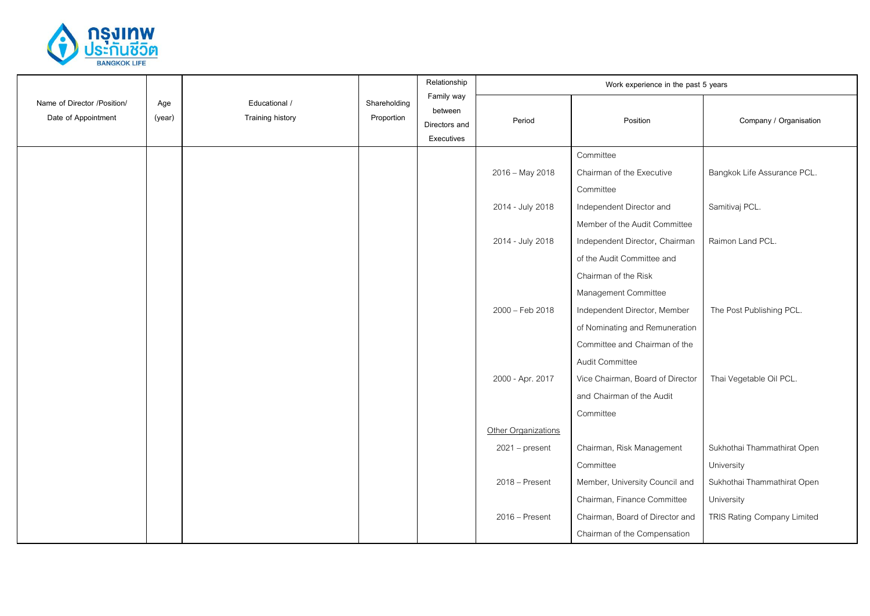

|                                                    |               |                                          |                            | Relationship                                         |                     | Work experience in the past 5 years |                             |
|----------------------------------------------------|---------------|------------------------------------------|----------------------------|------------------------------------------------------|---------------------|-------------------------------------|-----------------------------|
| Name of Director /Position/<br>Date of Appointment | Age<br>(year) | Educational /<br><b>Training history</b> | Shareholding<br>Proportion | Family way<br>between<br>Directors and<br>Executives | Period              | Position                            | Company / Organisation      |
|                                                    |               |                                          |                            |                                                      |                     | Committee                           |                             |
|                                                    |               |                                          |                            |                                                      | 2016 - May 2018     | Chairman of the Executive           | Bangkok Life Assurance PCL. |
|                                                    |               |                                          |                            |                                                      |                     | Committee                           |                             |
|                                                    |               |                                          |                            |                                                      | 2014 - July 2018    | Independent Director and            | Samitivaj PCL.              |
|                                                    |               |                                          |                            |                                                      |                     | Member of the Audit Committee       |                             |
|                                                    |               |                                          |                            |                                                      | 2014 - July 2018    | Independent Director, Chairman      | Raimon Land PCL.            |
|                                                    |               |                                          |                            |                                                      |                     | of the Audit Committee and          |                             |
|                                                    |               |                                          |                            |                                                      |                     | Chairman of the Risk                |                             |
|                                                    |               |                                          |                            |                                                      |                     | Management Committee                |                             |
|                                                    |               |                                          |                            |                                                      | 2000 - Feb 2018     | Independent Director, Member        | The Post Publishing PCL.    |
|                                                    |               |                                          |                            |                                                      |                     | of Nominating and Remuneration      |                             |
|                                                    |               |                                          |                            |                                                      |                     | Committee and Chairman of the       |                             |
|                                                    |               |                                          |                            |                                                      |                     | Audit Committee                     |                             |
|                                                    |               |                                          |                            |                                                      | 2000 - Apr. 2017    | Vice Chairman, Board of Director    | Thai Vegetable Oil PCL.     |
|                                                    |               |                                          |                            |                                                      |                     | and Chairman of the Audit           |                             |
|                                                    |               |                                          |                            |                                                      |                     | Committee                           |                             |
|                                                    |               |                                          |                            |                                                      | Other Organizations |                                     |                             |
|                                                    |               |                                          |                            |                                                      | $2021 - present$    | Chairman, Risk Management           | Sukhothai Thammathirat Open |
|                                                    |               |                                          |                            |                                                      |                     | Committee                           | University                  |
|                                                    |               |                                          |                            |                                                      | $2018 -$ Present    | Member, University Council and      | Sukhothai Thammathirat Open |
|                                                    |               |                                          |                            |                                                      |                     | Chairman, Finance Committee         | University                  |
|                                                    |               |                                          |                            |                                                      | 2016 - Present      | Chairman, Board of Director and     | TRIS Rating Company Limited |
|                                                    |               |                                          |                            |                                                      |                     | Chairman of the Compensation        |                             |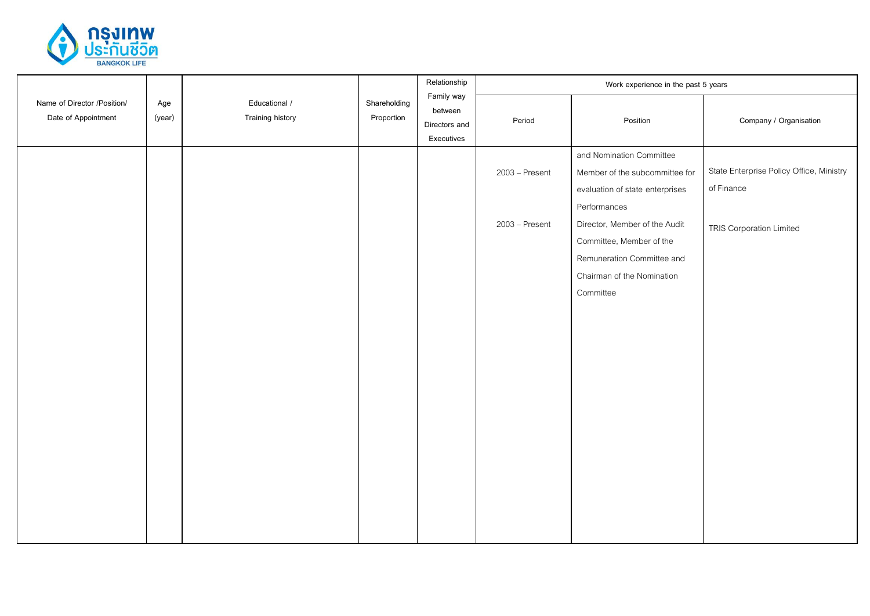

|                                                    |               |                                          |                            | Relationship                                         |                | Work experience in the past 5 years |                                          |
|----------------------------------------------------|---------------|------------------------------------------|----------------------------|------------------------------------------------------|----------------|-------------------------------------|------------------------------------------|
| Name of Director /Position/<br>Date of Appointment | Age<br>(year) | Educational /<br><b>Training history</b> | Shareholding<br>Proportion | Family way<br>between<br>Directors and<br>Executives | Period         | Position                            | Company / Organisation                   |
|                                                    |               |                                          |                            |                                                      |                | and Nomination Committee            |                                          |
|                                                    |               |                                          |                            |                                                      | 2003 - Present | Member of the subcommittee for      | State Enterprise Policy Office, Ministry |
|                                                    |               |                                          |                            |                                                      |                | evaluation of state enterprises     | of Finance                               |
|                                                    |               |                                          |                            |                                                      |                | Performances                        |                                          |
|                                                    |               |                                          |                            |                                                      | 2003 - Present | Director, Member of the Audit       | <b>TRIS Corporation Limited</b>          |
|                                                    |               |                                          |                            |                                                      |                | Committee, Member of the            |                                          |
|                                                    |               |                                          |                            |                                                      |                | Remuneration Committee and          |                                          |
|                                                    |               |                                          |                            |                                                      |                | Chairman of the Nomination          |                                          |
|                                                    |               |                                          |                            |                                                      |                | Committee                           |                                          |
|                                                    |               |                                          |                            |                                                      |                |                                     |                                          |
|                                                    |               |                                          |                            |                                                      |                |                                     |                                          |
|                                                    |               |                                          |                            |                                                      |                |                                     |                                          |
|                                                    |               |                                          |                            |                                                      |                |                                     |                                          |
|                                                    |               |                                          |                            |                                                      |                |                                     |                                          |
|                                                    |               |                                          |                            |                                                      |                |                                     |                                          |
|                                                    |               |                                          |                            |                                                      |                |                                     |                                          |
|                                                    |               |                                          |                            |                                                      |                |                                     |                                          |
|                                                    |               |                                          |                            |                                                      |                |                                     |                                          |
|                                                    |               |                                          |                            |                                                      |                |                                     |                                          |
|                                                    |               |                                          |                            |                                                      |                |                                     |                                          |
|                                                    |               |                                          |                            |                                                      |                |                                     |                                          |
|                                                    |               |                                          |                            |                                                      |                |                                     |                                          |
|                                                    |               |                                          |                            |                                                      |                |                                     |                                          |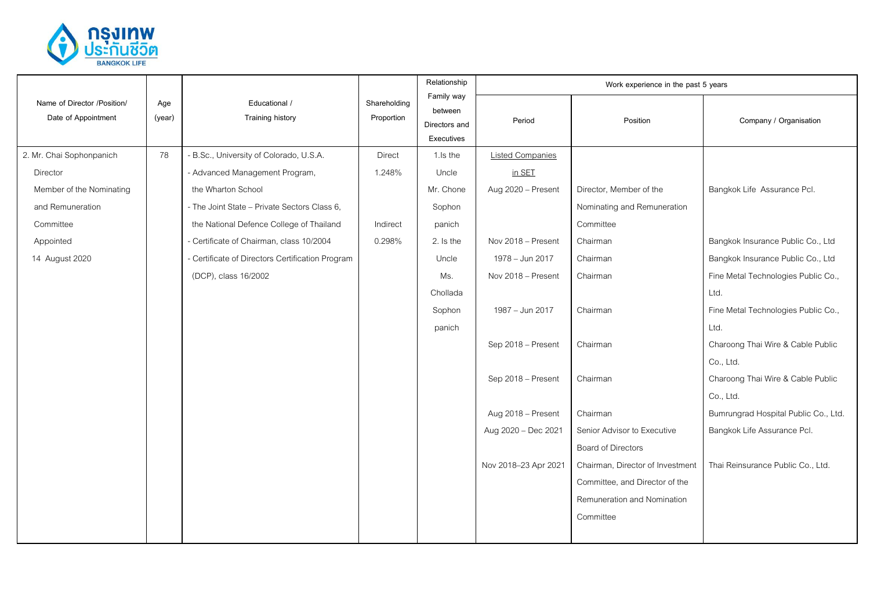

|                                                    |                                                                                  |                                                  |                                                      | Relationship | Work experience in the past 5 years |                                  |                                      |  |
|----------------------------------------------------|----------------------------------------------------------------------------------|--------------------------------------------------|------------------------------------------------------|--------------|-------------------------------------|----------------------------------|--------------------------------------|--|
| Name of Director /Position/<br>Date of Appointment | Educational /<br>Shareholding<br>Age<br>Training history<br>Proportion<br>(year) |                                                  | Family way<br>between<br>Directors and<br>Executives | Period       | Position                            | Company / Organisation           |                                      |  |
| 2. Mr. Chai Sophonpanich                           | 78                                                                               | - B.Sc., University of Colorado, U.S.A.          | <b>Direct</b>                                        | 1.Is the     | <b>Listed Companies</b>             |                                  |                                      |  |
| <b>Director</b>                                    |                                                                                  | - Advanced Management Program,                   | 1.248%                                               | Uncle        | in SET                              |                                  |                                      |  |
| Member of the Nominating                           |                                                                                  | the Wharton School                               |                                                      | Mr. Chone    | Aug 2020 - Present                  | Director, Member of the          | Bangkok Life Assurance Pcl.          |  |
| and Remuneration                                   |                                                                                  | - The Joint State - Private Sectors Class 6,     |                                                      | Sophon       |                                     | Nominating and Remuneration      |                                      |  |
| Committee                                          |                                                                                  | the National Defence College of Thailand         | Indirect                                             | panich       |                                     | Committee                        |                                      |  |
| Appointed                                          |                                                                                  | - Certificate of Chairman, class 10/2004         | 0.298%                                               | 2. Is the    | Nov 2018 - Present                  | Chairman                         | Bangkok Insurance Public Co., Ltd    |  |
| 14 August 2020                                     |                                                                                  | - Certificate of Directors Certification Program |                                                      | Uncle        | 1978 - Jun 2017                     | Chairman                         | Bangkok Insurance Public Co., Ltd    |  |
|                                                    |                                                                                  | (DCP), class 16/2002                             |                                                      | Ms.          | Nov 2018 - Present                  | Chairman                         | Fine Metal Technologies Public Co.,  |  |
|                                                    |                                                                                  |                                                  |                                                      | Chollada     |                                     |                                  | Ltd.                                 |  |
|                                                    |                                                                                  |                                                  |                                                      | Sophon       | 1987 - Jun 2017                     | Chairman                         | Fine Metal Technologies Public Co.,  |  |
|                                                    |                                                                                  |                                                  |                                                      | panich       |                                     |                                  | Ltd.                                 |  |
|                                                    |                                                                                  |                                                  |                                                      |              | Sep 2018 - Present                  | Chairman                         | Charoong Thai Wire & Cable Public    |  |
|                                                    |                                                                                  |                                                  |                                                      |              |                                     |                                  | Co., Ltd.                            |  |
|                                                    |                                                                                  |                                                  |                                                      |              | Sep 2018 - Present                  | Chairman                         | Charoong Thai Wire & Cable Public    |  |
|                                                    |                                                                                  |                                                  |                                                      |              |                                     |                                  | Co., Ltd.                            |  |
|                                                    |                                                                                  |                                                  |                                                      |              | Aug 2018 - Present                  | Chairman                         | Bumrungrad Hospital Public Co., Ltd. |  |
|                                                    |                                                                                  |                                                  |                                                      |              | Aug 2020 - Dec 2021                 | Senior Advisor to Executive      | Bangkok Life Assurance Pcl.          |  |
|                                                    |                                                                                  |                                                  |                                                      |              |                                     | <b>Board of Directors</b>        |                                      |  |
|                                                    |                                                                                  |                                                  |                                                      |              | Nov 2018-23 Apr 2021                | Chairman, Director of Investment | Thai Reinsurance Public Co., Ltd.    |  |
|                                                    |                                                                                  |                                                  |                                                      |              |                                     | Committee, and Director of the   |                                      |  |
|                                                    |                                                                                  |                                                  |                                                      |              |                                     | Remuneration and Nomination      |                                      |  |
|                                                    |                                                                                  |                                                  |                                                      |              |                                     | Committee                        |                                      |  |
|                                                    |                                                                                  |                                                  |                                                      |              |                                     |                                  |                                      |  |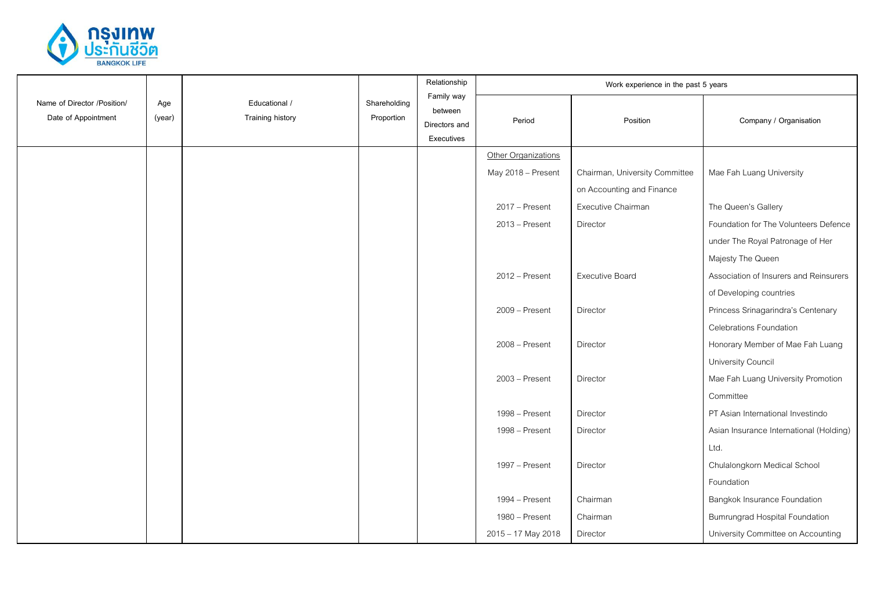

|                                                    |               |                                          |                            | Relationship                                         |                     | Work experience in the past 5 years |                                         |
|----------------------------------------------------|---------------|------------------------------------------|----------------------------|------------------------------------------------------|---------------------|-------------------------------------|-----------------------------------------|
| Name of Director /Position/<br>Date of Appointment | Age<br>(year) | Educational /<br><b>Training history</b> | Shareholding<br>Proportion | Family way<br>between<br>Directors and<br>Executives | Period              | Position                            | Company / Organisation                  |
|                                                    |               |                                          |                            |                                                      | Other Organizations |                                     |                                         |
|                                                    |               |                                          |                            |                                                      | May 2018 - Present  | Chairman, University Committee      | Mae Fah Luang University                |
|                                                    |               |                                          |                            |                                                      |                     | on Accounting and Finance           |                                         |
|                                                    |               |                                          |                            |                                                      | 2017 - Present      | Executive Chairman                  | The Queen's Gallery                     |
|                                                    |               |                                          |                            |                                                      | $2013 -$ Present    | Director                            | Foundation for The Volunteers Defence   |
|                                                    |               |                                          |                            |                                                      |                     |                                     | under The Royal Patronage of Her        |
|                                                    |               |                                          |                            |                                                      |                     |                                     | Majesty The Queen                       |
|                                                    |               |                                          |                            |                                                      | 2012 - Present      | <b>Executive Board</b>              | Association of Insurers and Reinsurers  |
|                                                    |               |                                          |                            |                                                      |                     |                                     | of Developing countries                 |
|                                                    |               |                                          |                            |                                                      | 2009 - Present      | Director                            | Princess Srinagarindra's Centenary      |
|                                                    |               |                                          |                            |                                                      |                     |                                     | <b>Celebrations Foundation</b>          |
|                                                    |               |                                          |                            |                                                      | 2008 - Present      | Director                            | Honorary Member of Mae Fah Luang        |
|                                                    |               |                                          |                            |                                                      |                     |                                     | University Council                      |
|                                                    |               |                                          |                            |                                                      | 2003 - Present      | Director                            | Mae Fah Luang University Promotion      |
|                                                    |               |                                          |                            |                                                      |                     |                                     | Committee                               |
|                                                    |               |                                          |                            |                                                      | 1998 - Present      | Director                            | PT Asian International Investindo       |
|                                                    |               |                                          |                            |                                                      | 1998 - Present      | Director                            | Asian Insurance International (Holding) |
|                                                    |               |                                          |                            |                                                      |                     |                                     | Ltd.                                    |
|                                                    |               |                                          |                            |                                                      | 1997 – Present      | Director                            | Chulalongkorn Medical School            |
|                                                    |               |                                          |                            |                                                      |                     |                                     | Foundation                              |
|                                                    |               |                                          |                            |                                                      | 1994 - Present      | Chairman                            | Bangkok Insurance Foundation            |
|                                                    |               |                                          |                            |                                                      | 1980 - Present      | Chairman                            | <b>Bumrungrad Hospital Foundation</b>   |
|                                                    |               |                                          |                            |                                                      | 2015 - 17 May 2018  | Director                            | University Committee on Accounting      |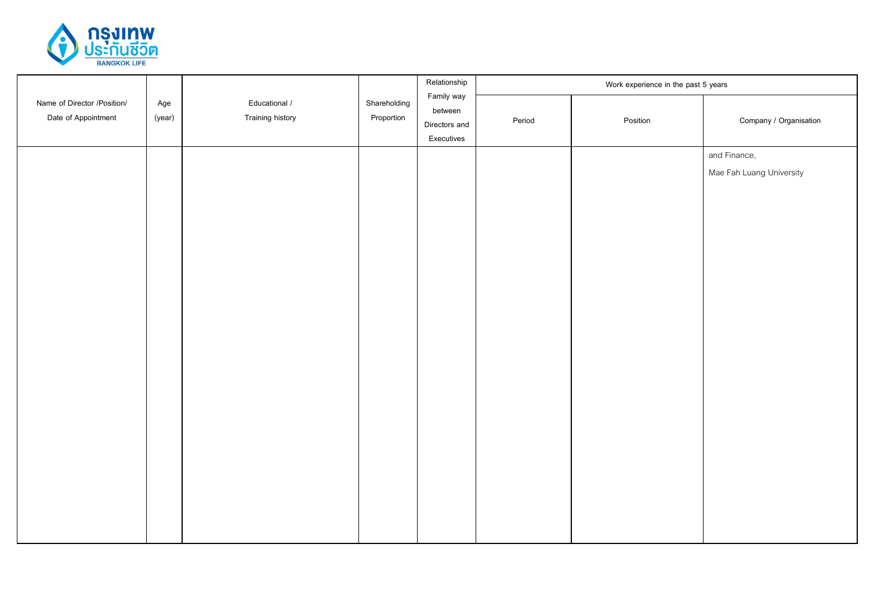

|                                                    |               |                                          |                            | Relationship                                         |        | Work experience in the past 5 years |                                          |
|----------------------------------------------------|---------------|------------------------------------------|----------------------------|------------------------------------------------------|--------|-------------------------------------|------------------------------------------|
| Name of Director /Position/<br>Date of Appointment | Age<br>(year) | Educational /<br><b>Training history</b> | Shareholding<br>Proportion | Family way<br>between<br>Directors and<br>Executives | Period | Position                            | Company / Organisation                   |
|                                                    |               |                                          |                            |                                                      |        |                                     | and Finance,<br>Mae Fah Luang University |
|                                                    |               |                                          |                            |                                                      |        |                                     |                                          |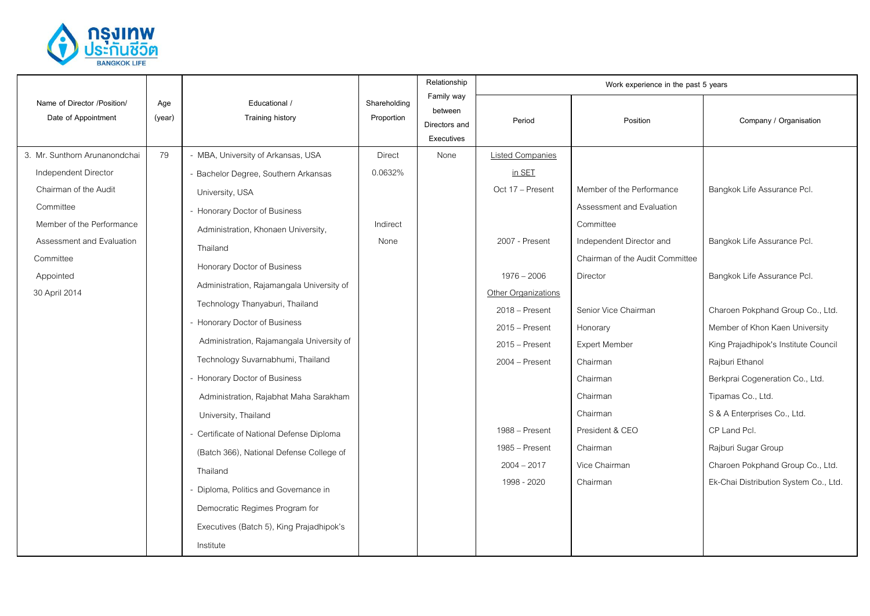

|                                                                                                                                                                                                  |               |                                                                                                                                                                                                                                                                                                                                                                                                                                                                                                                                                                                                                             |                                              | Relationship                                         |                                                                                                                                                                                                                                                           | Work experience in the past 5 years                                                                                                                                                                                                                                                                        |                                                                                                                                                                                                                                                                                                                                                                                              |
|--------------------------------------------------------------------------------------------------------------------------------------------------------------------------------------------------|---------------|-----------------------------------------------------------------------------------------------------------------------------------------------------------------------------------------------------------------------------------------------------------------------------------------------------------------------------------------------------------------------------------------------------------------------------------------------------------------------------------------------------------------------------------------------------------------------------------------------------------------------------|----------------------------------------------|------------------------------------------------------|-----------------------------------------------------------------------------------------------------------------------------------------------------------------------------------------------------------------------------------------------------------|------------------------------------------------------------------------------------------------------------------------------------------------------------------------------------------------------------------------------------------------------------------------------------------------------------|----------------------------------------------------------------------------------------------------------------------------------------------------------------------------------------------------------------------------------------------------------------------------------------------------------------------------------------------------------------------------------------------|
| Name of Director /Position/<br>Date of Appointment                                                                                                                                               | Age<br>(year) | Educational /<br><b>Training history</b>                                                                                                                                                                                                                                                                                                                                                                                                                                                                                                                                                                                    | Shareholding<br>Proportion                   | Family way<br>between<br>Directors and<br>Executives | Period                                                                                                                                                                                                                                                    | Position                                                                                                                                                                                                                                                                                                   | Company / Organisation                                                                                                                                                                                                                                                                                                                                                                       |
| 3. Mr. Sunthorn Arunanondchai<br>Independent Director<br>Chairman of the Audit<br>Committee<br>Member of the Performance<br>Assessment and Evaluation<br>Committee<br>Appointed<br>30 April 2014 | 79            | - MBA, University of Arkansas, USA<br>- Bachelor Degree, Southern Arkansas<br>University, USA<br>- Honorary Doctor of Business<br>Administration, Khonaen University,<br>Thailand<br>Honorary Doctor of Business<br>Administration, Rajamangala University of<br>Technology Thanyaburi, Thailand<br>- Honorary Doctor of Business<br>Administration, Rajamangala University of<br>Technology Suvarnabhumi, Thailand<br>- Honorary Doctor of Business<br>Administration, Rajabhat Maha Sarakham<br>University, Thailand<br>- Certificate of National Defense Diploma<br>(Batch 366), National Defense College of<br>Thailand | <b>Direct</b><br>0.0632%<br>Indirect<br>None | None                                                 | <b>Listed Companies</b><br>in SET<br>Oct 17 - Present<br>2007 - Present<br>$1976 - 2006$<br><b>Other Organizations</b><br>$2018 -$ Present<br>$2015 -$ Present<br>$2015$ – Present<br>2004 – Present<br>1988 - Present<br>1985 – Present<br>$2004 - 2017$ | Member of the Performance<br>Assessment and Evaluation<br>Committee<br>Independent Director and<br>Chairman of the Audit Committee<br>Director<br>Senior Vice Chairman<br>Honorary<br><b>Expert Member</b><br>Chairman<br>Chairman<br>Chairman<br>Chairman<br>President & CEO<br>Chairman<br>Vice Chairman | Bangkok Life Assurance Pcl.<br>Bangkok Life Assurance Pcl.<br>Bangkok Life Assurance Pcl.<br>Charoen Pokphand Group Co., Ltd.<br>Member of Khon Kaen University<br>King Prajadhipok's Institute Council<br>Rajburi Ethanol<br>Berkprai Cogeneration Co., Ltd.<br>Tipamas Co., Ltd.<br>S & A Enterprises Co., Ltd.<br>CP Land Pcl.<br>Rajburi Sugar Group<br>Charoen Pokphand Group Co., Ltd. |
|                                                                                                                                                                                                  |               | - Diploma, Politics and Governance in<br>Democratic Regimes Program for<br>Executives (Batch 5), King Prajadhipok's<br>Institute                                                                                                                                                                                                                                                                                                                                                                                                                                                                                            |                                              |                                                      | 1998 - 2020                                                                                                                                                                                                                                               | Chairman                                                                                                                                                                                                                                                                                                   | Ek-Chai Distribution System Co., Ltd.                                                                                                                                                                                                                                                                                                                                                        |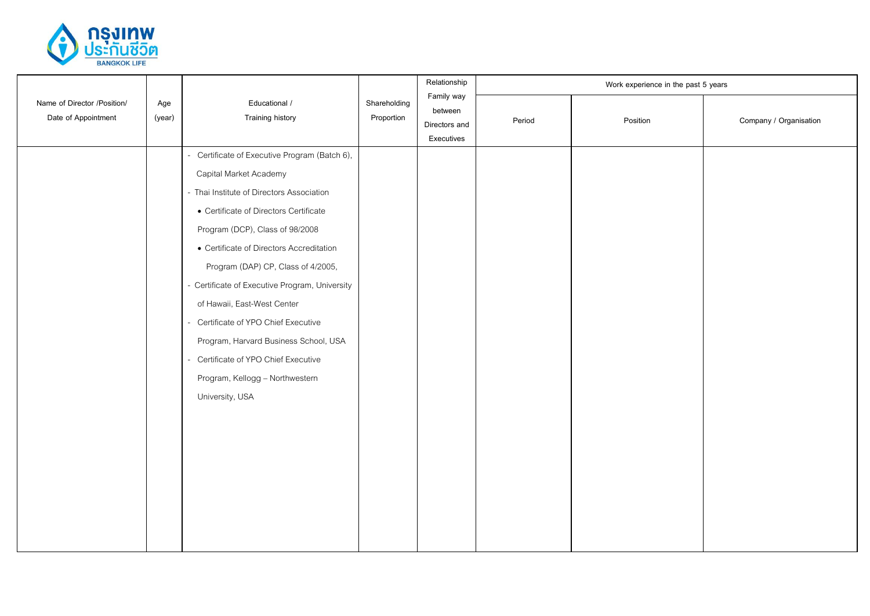

|  | Educational /<br>Name of Director /Position/<br>Age<br>Date of Appointment<br><b>Training history</b><br>(year) |                                                                                                                                                                                                                                                                                                                                                                                                                                                                                                                                                                 |                                                      | Relationship | Work experience in the past 5 years |                        |  |  |
|--|-----------------------------------------------------------------------------------------------------------------|-----------------------------------------------------------------------------------------------------------------------------------------------------------------------------------------------------------------------------------------------------------------------------------------------------------------------------------------------------------------------------------------------------------------------------------------------------------------------------------------------------------------------------------------------------------------|------------------------------------------------------|--------------|-------------------------------------|------------------------|--|--|
|  |                                                                                                                 | Shareholding<br>Proportion                                                                                                                                                                                                                                                                                                                                                                                                                                                                                                                                      | Family way<br>between<br>Directors and<br>Executives | Period       | Position                            | Company / Organisation |  |  |
|  |                                                                                                                 | Certificate of Executive Program (Batch 6),<br>÷.<br>Capital Market Academy<br>- Thai Institute of Directors Association<br>• Certificate of Directors Certificate<br>Program (DCP), Class of 98/2008<br>• Certificate of Directors Accreditation<br>Program (DAP) CP, Class of 4/2005,<br>- Certificate of Executive Program, University<br>of Hawaii, East-West Center<br>Certificate of YPO Chief Executive<br>$\sim$<br>Program, Harvard Business School, USA<br>- Certificate of YPO Chief Executive<br>Program, Kellogg - Northwestern<br>University, USA |                                                      |              |                                     |                        |  |  |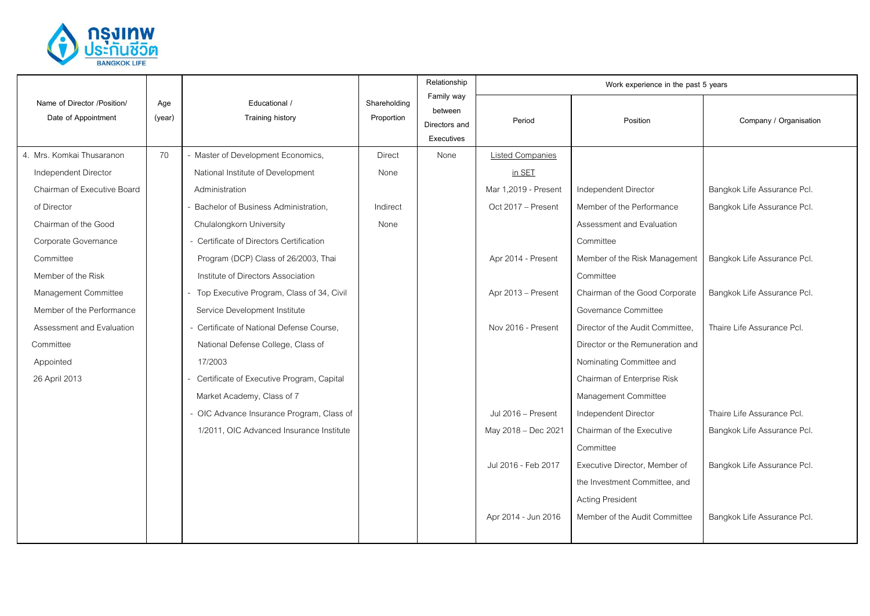

|                                                    |               |                                             |                            | Relationship                                         |                         | Work experience in the past 5 years |                             |
|----------------------------------------------------|---------------|---------------------------------------------|----------------------------|------------------------------------------------------|-------------------------|-------------------------------------|-----------------------------|
| Name of Director /Position/<br>Date of Appointment | Age<br>(year) | Educational /<br>Training history           | Shareholding<br>Proportion | Family way<br>between<br>Directors and<br>Executives | Period                  | Position                            | Company / Organisation      |
| 4. Mrs. Komkai Thusaranon                          | 70            | - Master of Development Economics,          | <b>Direct</b>              | None                                                 | <b>Listed Companies</b> |                                     |                             |
| Independent Director                               |               | National Institute of Development           | None                       |                                                      | in SET                  |                                     |                             |
| Chairman of Executive Board                        |               | Administration                              |                            |                                                      | Mar 1,2019 - Present    | Independent Director                | Bangkok Life Assurance Pcl. |
| of Director                                        |               | Bachelor of Business Administration,        | Indirect                   |                                                      | Oct 2017 - Present      | Member of the Performance           | Bangkok Life Assurance Pcl. |
| Chairman of the Good                               |               | Chulalongkorn University                    | None                       |                                                      |                         | Assessment and Evaluation           |                             |
| Corporate Governance                               |               | - Certificate of Directors Certification    |                            |                                                      |                         | Committee                           |                             |
| Committee                                          |               | Program (DCP) Class of 26/2003, Thai        |                            |                                                      | Apr 2014 - Present      | Member of the Risk Management       | Bangkok Life Assurance Pcl. |
| Member of the Risk                                 |               | Institute of Directors Association          |                            |                                                      |                         | Committee                           |                             |
| Management Committee                               |               | - Top Executive Program, Class of 34, Civil |                            |                                                      | Apr 2013 - Present      | Chairman of the Good Corporate      | Bangkok Life Assurance Pcl. |
| Member of the Performance                          |               | Service Development Institute               |                            |                                                      |                         | Governance Committee                |                             |
| Assessment and Evaluation                          |               | - Certificate of National Defense Course,   |                            |                                                      | Nov 2016 - Present      | Director of the Audit Committee,    | Thaire I ife Assurance PcI. |
| Committee                                          |               | National Defense College, Class of          |                            |                                                      |                         | Director or the Remuneration and    |                             |
| Appointed                                          |               | 17/2003                                     |                            |                                                      |                         | Nominating Committee and            |                             |
| 26 April 2013                                      |               | - Certificate of Executive Program, Capital |                            |                                                      |                         | Chairman of Enterprise Risk         |                             |
|                                                    |               | Market Academy, Class of 7                  |                            |                                                      |                         | Management Committee                |                             |
|                                                    |               | - OIC Advance Insurance Program, Class of   |                            |                                                      | Jul 2016 - Present      | Independent Director                | Thaire I ife Assurance PcI. |
|                                                    |               | 1/2011, OIC Advanced Insurance Institute    |                            |                                                      | May 2018 - Dec 2021     | Chairman of the Executive           | Bangkok Life Assurance Pcl. |
|                                                    |               |                                             |                            |                                                      |                         | Committee                           |                             |
|                                                    |               |                                             |                            |                                                      | Jul 2016 - Feb 2017     | Executive Director, Member of       | Bangkok Life Assurance Pcl. |
|                                                    |               |                                             |                            |                                                      |                         | the Investment Committee, and       |                             |
|                                                    |               |                                             |                            |                                                      |                         | <b>Acting President</b>             |                             |
|                                                    |               |                                             |                            |                                                      | Apr 2014 - Jun 2016     | Member of the Audit Committee       | Bangkok Life Assurance Pcl. |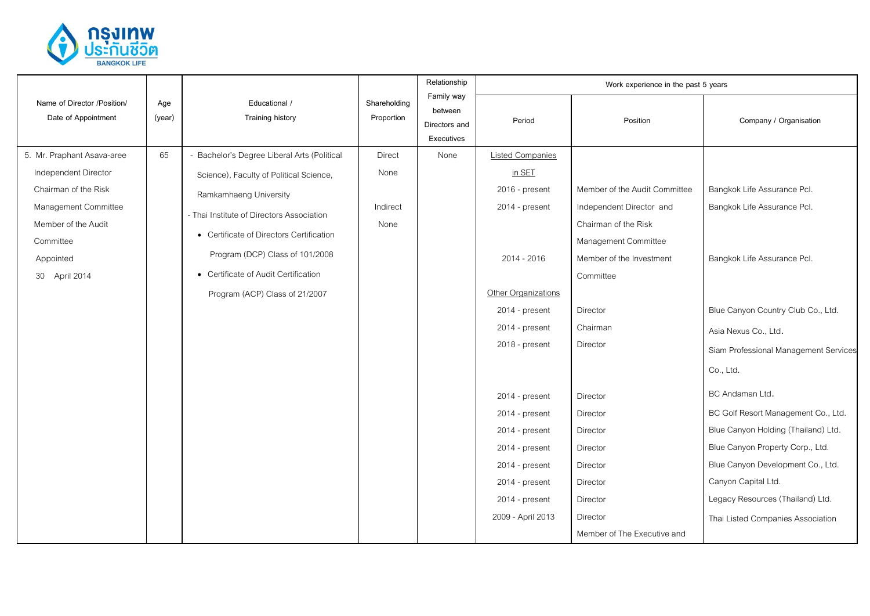

|                                                                                                                                                                      |               |                                                                                                                                                                                                                                                                                                                        |                                           | Relationship                                         |                                                                                                                                                                                                                                                                                                                      | Work experience in the past 5 years                                                                                                                                                                                                                                                                                   |                                                                                                                                                                                                                                                                                                                                                                                                                                                                                         |
|----------------------------------------------------------------------------------------------------------------------------------------------------------------------|---------------|------------------------------------------------------------------------------------------------------------------------------------------------------------------------------------------------------------------------------------------------------------------------------------------------------------------------|-------------------------------------------|------------------------------------------------------|----------------------------------------------------------------------------------------------------------------------------------------------------------------------------------------------------------------------------------------------------------------------------------------------------------------------|-----------------------------------------------------------------------------------------------------------------------------------------------------------------------------------------------------------------------------------------------------------------------------------------------------------------------|-----------------------------------------------------------------------------------------------------------------------------------------------------------------------------------------------------------------------------------------------------------------------------------------------------------------------------------------------------------------------------------------------------------------------------------------------------------------------------------------|
| Name of Director /Position/<br>Date of Appointment                                                                                                                   | Age<br>(year) | Educational /<br><b>Training history</b>                                                                                                                                                                                                                                                                               | Shareholding<br>Proportion                | Family way<br>between<br>Directors and<br>Executives | Period                                                                                                                                                                                                                                                                                                               | Position                                                                                                                                                                                                                                                                                                              | Company / Organisation                                                                                                                                                                                                                                                                                                                                                                                                                                                                  |
| 5. Mr. Praphant Asava-aree<br>Independent Director<br>Chairman of the Risk<br>Management Committee<br>Member of the Audit<br>Committee<br>Appointed<br>30 April 2014 | 65            | - Bachelor's Degree Liberal Arts (Political<br>Science), Faculty of Political Science,<br>Ramkamhaeng University<br>- Thai Institute of Directors Association<br>• Certificate of Directors Certification<br>Program (DCP) Class of 101/2008<br>• Certificate of Audit Certification<br>Program (ACP) Class of 21/2007 | <b>Direct</b><br>None<br>Indirect<br>None | None                                                 | <b>Listed Companies</b><br>in SET<br>2016 - present<br>2014 - present<br>2014 - 2016<br>Other Organizations<br>2014 - present<br>2014 - present<br>2018 - present<br>2014 - present<br>2014 - present<br>2014 - present<br>2014 - present<br>2014 - present<br>2014 - present<br>2014 - present<br>2009 - April 2013 | Member of the Audit Committee<br>Independent Director and<br>Chairman of the Risk<br>Management Committee<br>Member of the Investment<br>Committee<br>Director<br>Chairman<br>Director<br>Director<br>Director<br>Director<br>Director<br>Director<br>Director<br>Director<br>Director<br>Member of The Executive and | Bangkok Life Assurance Pcl.<br>Bangkok Life Assurance Pcl.<br>Bangkok Life Assurance Pcl.<br>Blue Canyon Country Club Co., Ltd.<br>Asia Nexus Co., Ltd.<br>Siam Professional Management Services<br>Co., Ltd.<br>BC Andaman Ltd.<br>BC Golf Resort Management Co., Ltd.<br>Blue Canyon Holding (Thailand) Ltd.<br>Blue Canyon Property Corp., Ltd.<br>Blue Canyon Development Co., Ltd.<br>Canyon Capital Ltd.<br>Legacy Resources (Thailand) Ltd.<br>Thai Listed Companies Association |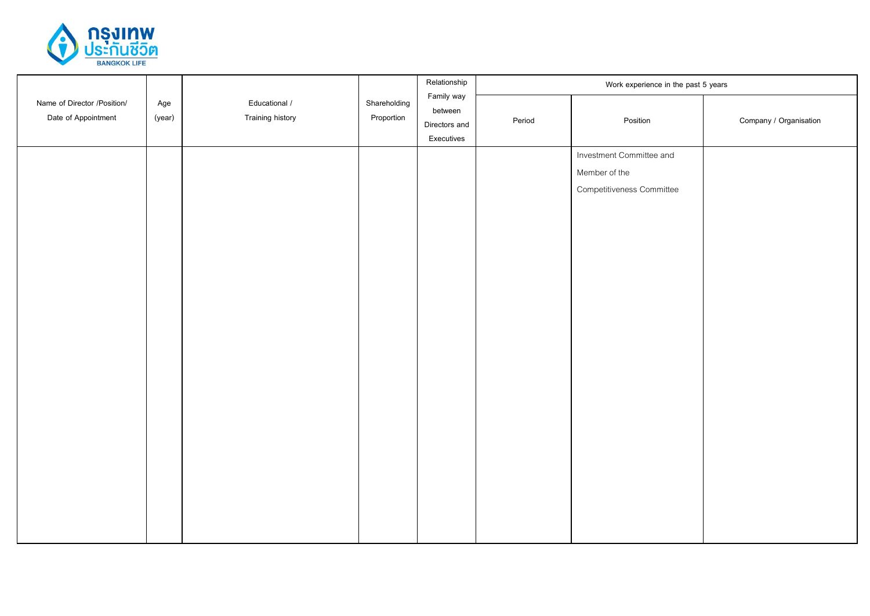

|                                                    |               |                                          |                            | Relationship                                         |        | Work experience in the past 5 years                                    |                        |
|----------------------------------------------------|---------------|------------------------------------------|----------------------------|------------------------------------------------------|--------|------------------------------------------------------------------------|------------------------|
| Name of Director /Position/<br>Date of Appointment | Age<br>(year) | Educational /<br><b>Training history</b> | Shareholding<br>Proportion | Family way<br>between<br>Directors and<br>Executives | Period | Position                                                               | Company / Organisation |
|                                                    |               |                                          |                            |                                                      |        | Investment Committee and<br>Member of the<br>Competitiveness Committee |                        |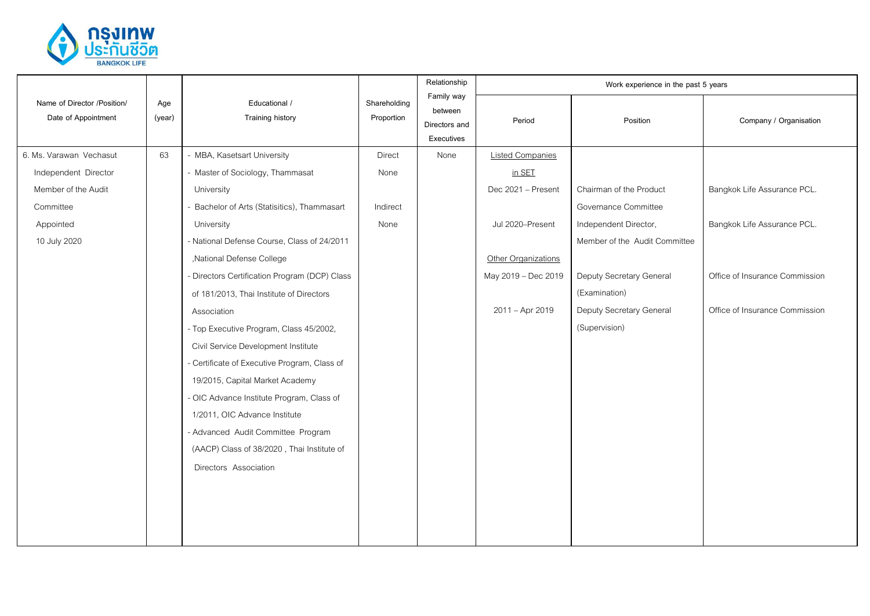

|                                                    |               | Educational /<br>Training history             | Shareholding<br>Proportion | Relationship<br>Family way<br>between<br>Directors and<br>Executives | Work experience in the past 5 years |                               |                                |  |
|----------------------------------------------------|---------------|-----------------------------------------------|----------------------------|----------------------------------------------------------------------|-------------------------------------|-------------------------------|--------------------------------|--|
| Name of Director /Position/<br>Date of Appointment | Age<br>(year) |                                               |                            |                                                                      | Period                              | Position                      | Company / Organisation         |  |
| 6. Ms. Varawan Vechasut                            | 63            | - MBA, Kasetsart University                   | <b>Direct</b>              | None                                                                 | <b>Listed Companies</b>             |                               |                                |  |
| Independent Director                               |               | - Master of Sociology, Thammasat              | None                       |                                                                      | in SET                              |                               |                                |  |
| Member of the Audit                                |               | University                                    |                            |                                                                      | Dec 2021 - Present                  | Chairman of the Product       | Bangkok Life Assurance PCL.    |  |
| Committee                                          |               | Bachelor of Arts (Statisitics), Thammasart    | Indirect                   |                                                                      |                                     | Governance Committee          |                                |  |
| Appointed                                          |               | University                                    | None                       |                                                                      | Jul 2020-Present                    | Independent Director,         | Bangkok Life Assurance PCL.    |  |
| 10 July 2020                                       |               | - National Defense Course, Class of 24/2011   |                            |                                                                      |                                     | Member of the Audit Committee |                                |  |
|                                                    |               | ,National Defense College                     |                            |                                                                      | Other Organizations                 |                               |                                |  |
|                                                    |               | - Directors Certification Program (DCP) Class |                            |                                                                      | May 2019 - Dec 2019                 | Deputy Secretary General      | Office of Insurance Commission |  |
|                                                    |               | of 181/2013, Thai Institute of Directors      |                            |                                                                      |                                     | (Examination)                 |                                |  |
|                                                    |               | Association                                   |                            |                                                                      | 2011 - Apr 2019                     | Deputy Secretary General      | Office of Insurance Commission |  |
|                                                    |               | - Top Executive Program, Class 45/2002,       |                            |                                                                      |                                     | (Supervision)                 |                                |  |
|                                                    |               | Civil Service Development Institute           |                            |                                                                      |                                     |                               |                                |  |
|                                                    |               | - Certificate of Executive Program, Class of  |                            |                                                                      |                                     |                               |                                |  |
|                                                    |               | 19/2015, Capital Market Academy               |                            |                                                                      |                                     |                               |                                |  |
|                                                    |               | - OIC Advance Institute Program, Class of     |                            |                                                                      |                                     |                               |                                |  |
|                                                    |               | 1/2011, OIC Advance Institute                 |                            |                                                                      |                                     |                               |                                |  |
|                                                    |               | - Advanced Audit Committee Program            |                            |                                                                      |                                     |                               |                                |  |
|                                                    |               | (AACP) Class of 38/2020, Thai Institute of    |                            |                                                                      |                                     |                               |                                |  |
|                                                    |               | Directors Association                         |                            |                                                                      |                                     |                               |                                |  |
|                                                    |               |                                               |                            |                                                                      |                                     |                               |                                |  |
|                                                    |               |                                               |                            |                                                                      |                                     |                               |                                |  |
|                                                    |               |                                               |                            |                                                                      |                                     |                               |                                |  |
|                                                    |               |                                               |                            |                                                                      |                                     |                               |                                |  |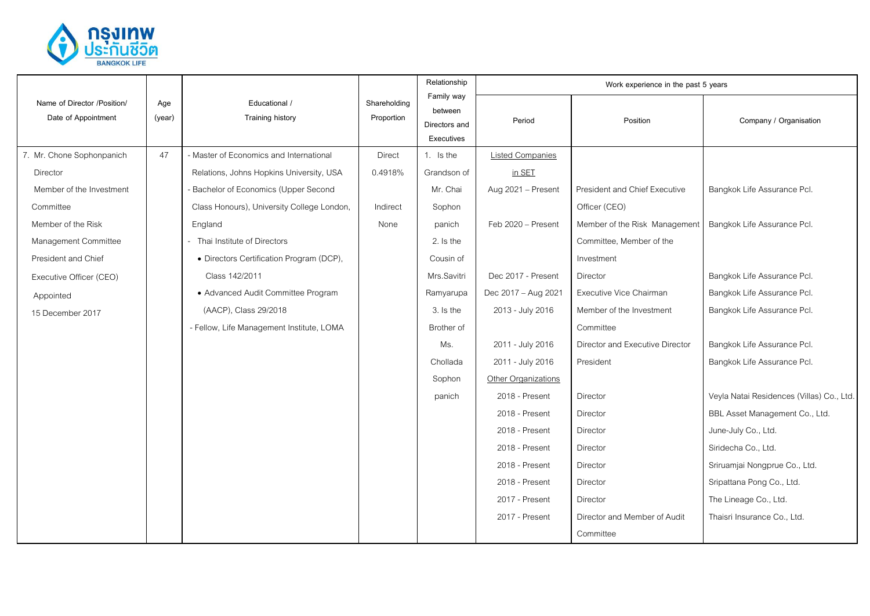

|                                                    |               | Educational /<br>Training history          | Shareholding<br>Proportion | Relationship                                         | Work experience in the past 5 years |                                 |                                           |  |
|----------------------------------------------------|---------------|--------------------------------------------|----------------------------|------------------------------------------------------|-------------------------------------|---------------------------------|-------------------------------------------|--|
| Name of Director /Position/<br>Date of Appointment | Age<br>(year) |                                            |                            | Family way<br>between<br>Directors and<br>Executives | Period                              | Position                        | Company / Organisation                    |  |
| 7. Mr. Chone Sophonpanich                          | 47            | - Master of Economics and International    | <b>Direct</b>              | 1. Is the                                            | <b>Listed Companies</b>             |                                 |                                           |  |
| Director                                           |               | Relations, Johns Hopkins University, USA   | 0.4918%                    | Grandson of                                          | in SET                              |                                 |                                           |  |
| Member of the Investment                           |               | Bachelor of Economics (Upper Second        |                            | Mr. Chai                                             | Aug 2021 - Present                  | President and Chief Executive   | Bangkok Life Assurance Pcl.               |  |
| Committee                                          |               | Class Honours), University College London, | Indirect                   | Sophon                                               |                                     | Officer (CEO)                   |                                           |  |
| Member of the Risk                                 |               | England                                    | None                       | panich                                               | Feb 2020 - Present                  | Member of the Risk Management   | Bangkok Life Assurance Pcl.               |  |
| Management Committee                               |               | - Thai Institute of Directors              |                            | 2. Is the                                            |                                     | Committee, Member of the        |                                           |  |
| President and Chief                                |               | • Directors Certification Program (DCP),   |                            | Cousin of                                            |                                     | Investment                      |                                           |  |
| Executive Officer (CEO)                            |               | Class 142/2011                             |                            | Mrs.Savitri                                          | Dec 2017 - Present                  | Director                        | Bangkok Life Assurance Pcl.               |  |
| Appointed                                          |               | • Advanced Audit Committee Program         |                            | Ramyarupa                                            | Dec 2017 - Aug 2021                 | Executive Vice Chairman         | Bangkok Life Assurance Pcl.               |  |
| 15 December 2017                                   |               | (AACP), Class 29/2018                      |                            | 3. Is the                                            | 2013 - July 2016                    | Member of the Investment        | Bangkok Life Assurance Pcl.               |  |
|                                                    |               | - Fellow, Life Management Institute, LOMA  |                            | Brother of                                           |                                     | Committee                       |                                           |  |
|                                                    |               |                                            |                            | Ms.                                                  | 2011 - July 2016                    | Director and Executive Director | Bangkok Life Assurance Pcl.               |  |
|                                                    |               |                                            |                            | Chollada                                             | 2011 - July 2016                    | President                       | Bangkok Life Assurance Pcl.               |  |
|                                                    |               |                                            |                            | Sophon                                               | Other Organizations                 |                                 |                                           |  |
|                                                    |               |                                            |                            | panich                                               | 2018 - Present                      | Director                        | Veyla Natai Residences (Villas) Co., Ltd. |  |
|                                                    |               |                                            |                            |                                                      | 2018 - Present                      | Director                        | BBL Asset Management Co., Ltd.            |  |
|                                                    |               |                                            |                            |                                                      | 2018 - Present                      | Director                        | June-July Co., Ltd.                       |  |
|                                                    |               |                                            |                            |                                                      | 2018 - Present                      | Director                        | Siridecha Co., Ltd.                       |  |
|                                                    |               |                                            |                            |                                                      | 2018 - Present                      | Director                        | Sriruamjai Nongprue Co., Ltd.             |  |
|                                                    |               |                                            |                            |                                                      | 2018 - Present                      | Director                        | Sripattana Pong Co., Ltd.                 |  |
|                                                    |               |                                            |                            |                                                      | 2017 - Present                      | Director                        | The Lineage Co., Ltd.                     |  |
|                                                    |               |                                            |                            |                                                      | 2017 - Present                      | Director and Member of Audit    | Thaisri Insurance Co., Ltd.               |  |
|                                                    |               |                                            |                            |                                                      |                                     | Committee                       |                                           |  |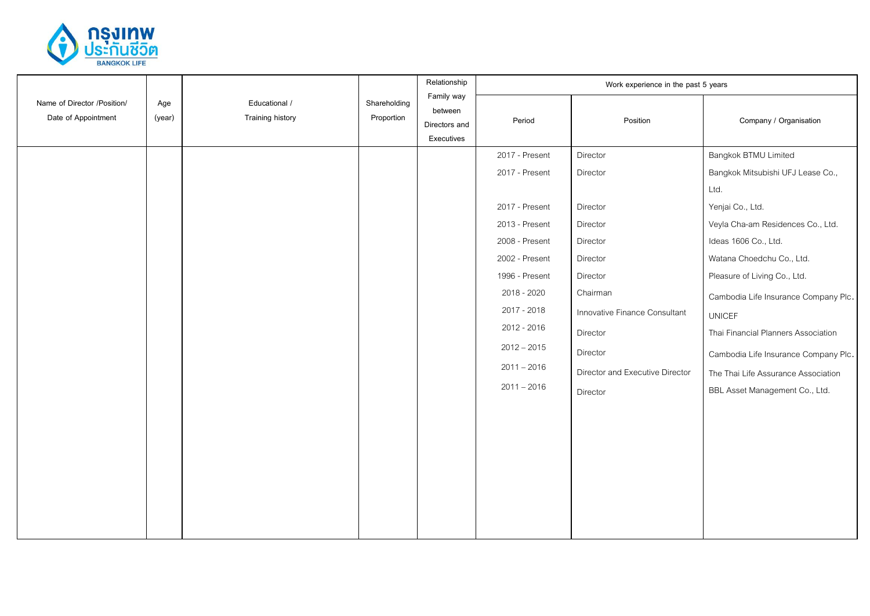

|                                                    |               |                                          |                            | Relationship                                         |                | Work experience in the past 5 years |                                      |
|----------------------------------------------------|---------------|------------------------------------------|----------------------------|------------------------------------------------------|----------------|-------------------------------------|--------------------------------------|
| Name of Director /Position/<br>Date of Appointment | Age<br>(year) | Educational /<br><b>Training history</b> | Shareholding<br>Proportion | Family way<br>between<br>Directors and<br>Executives | Period         | Position                            | Company / Organisation               |
|                                                    |               |                                          |                            |                                                      | 2017 - Present | Director                            | Bangkok BTMU Limited                 |
|                                                    |               |                                          |                            |                                                      | 2017 - Present | Director                            | Bangkok Mitsubishi UFJ Lease Co.,    |
|                                                    |               |                                          |                            |                                                      |                |                                     | Ltd.                                 |
|                                                    |               |                                          |                            |                                                      | 2017 - Present | Director                            | Yenjai Co., Ltd.                     |
|                                                    |               |                                          |                            |                                                      | 2013 - Present | Director                            | Veyla Cha-am Residences Co., Ltd.    |
|                                                    |               |                                          |                            |                                                      | 2008 - Present | Director                            | Ideas 1606 Co., Ltd.                 |
|                                                    |               |                                          |                            |                                                      | 2002 - Present | Director                            | Watana Choedchu Co., Ltd.            |
|                                                    |               |                                          |                            |                                                      | 1996 - Present | Director                            | Pleasure of Living Co., Ltd.         |
|                                                    |               |                                          |                            |                                                      | 2018 - 2020    | Chairman                            | Cambodia Life Insurance Company Plc. |
|                                                    |               |                                          |                            |                                                      | 2017 - 2018    | Innovative Finance Consultant       | <b>UNICEF</b>                        |
|                                                    |               |                                          |                            |                                                      | 2012 - 2016    | Director                            | Thai Financial Planners Association  |
|                                                    |               |                                          |                            |                                                      | $2012 - 2015$  | Director                            | Cambodia Life Insurance Company Plc. |
|                                                    |               |                                          |                            |                                                      | $2011 - 2016$  | Director and Executive Director     | The Thai Life Assurance Association  |
|                                                    |               |                                          |                            |                                                      | $2011 - 2016$  | Director                            | BBL Asset Management Co., Ltd.       |
|                                                    |               |                                          |                            |                                                      |                |                                     |                                      |
|                                                    |               |                                          |                            |                                                      |                |                                     |                                      |
|                                                    |               |                                          |                            |                                                      |                |                                     |                                      |
|                                                    |               |                                          |                            |                                                      |                |                                     |                                      |
|                                                    |               |                                          |                            |                                                      |                |                                     |                                      |
|                                                    |               |                                          |                            |                                                      |                |                                     |                                      |
|                                                    |               |                                          |                            |                                                      |                |                                     |                                      |
|                                                    |               |                                          |                            |                                                      |                |                                     |                                      |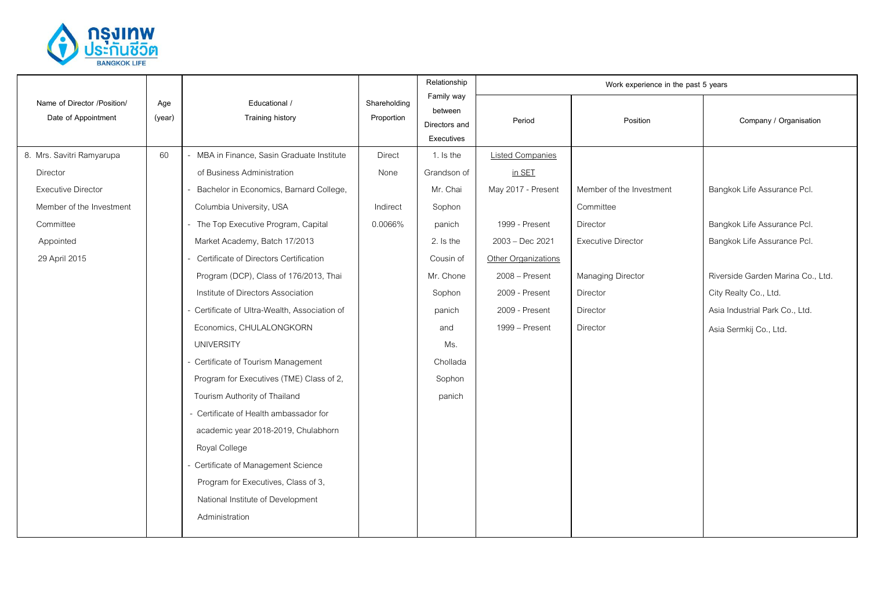

|                                                    |               | Educational /<br><b>Training history</b>      | Shareholding<br>Proportion | Relationship                                         |                         | Work experience in the past 5 years |                                   |
|----------------------------------------------------|---------------|-----------------------------------------------|----------------------------|------------------------------------------------------|-------------------------|-------------------------------------|-----------------------------------|
| Name of Director /Position/<br>Date of Appointment | Age<br>(year) |                                               |                            | Family way<br>between<br>Directors and<br>Executives | Period                  | Position                            | Company / Organisation            |
| 8. Mrs. Savitri Ramyarupa                          | 60            | - MBA in Finance, Sasin Graduate Institute    | <b>Direct</b>              | 1. Is the                                            | <b>Listed Companies</b> |                                     |                                   |
| Director                                           |               | of Business Administration                    | None                       | Grandson of                                          | in SET                  |                                     |                                   |
| <b>Executive Director</b>                          |               | Bachelor in Economics, Barnard College,       |                            | Mr. Chai                                             | May 2017 - Present      | Member of the Investment            | Bangkok Life Assurance Pcl.       |
| Member of the Investment                           |               | Columbia University, USA                      | Indirect                   | Sophon                                               |                         | Committee                           |                                   |
| Committee                                          |               | - The Top Executive Program, Capital          | 0.0066%                    | panich                                               | 1999 - Present          | Director                            | Bangkok Life Assurance Pcl.       |
| Appointed                                          |               | Market Academy, Batch 17/2013                 |                            | 2. Is the                                            | 2003 - Dec 2021         | <b>Executive Director</b>           | Bangkok Life Assurance Pcl.       |
| 29 April 2015                                      |               | Certificate of Directors Certification        |                            | Cousin of                                            | Other Organizations     |                                     |                                   |
|                                                    |               | Program (DCP), Class of 176/2013, Thai        |                            | Mr. Chone                                            | 2008 - Present          | Managing Director                   | Riverside Garden Marina Co., Ltd. |
|                                                    |               | Institute of Directors Association            |                            | Sophon                                               | 2009 - Present          | Director                            | City Realty Co., Ltd.             |
|                                                    |               | - Certificate of Ultra-Wealth, Association of |                            | panich                                               | 2009 - Present          | Director                            | Asia Industrial Park Co., Ltd.    |
|                                                    |               | Economics, CHULALONGKORN                      |                            | and                                                  | 1999 – Present          | <b>Director</b>                     | Asia Sermkij Co., Ltd.            |
|                                                    |               | <b>UNIVERSITY</b>                             |                            | Ms.                                                  |                         |                                     |                                   |
|                                                    |               | - Certificate of Tourism Management           |                            | Chollada                                             |                         |                                     |                                   |
|                                                    |               | Program for Executives (TME) Class of 2,      |                            | Sophon                                               |                         |                                     |                                   |
|                                                    |               | Tourism Authority of Thailand                 |                            | panich                                               |                         |                                     |                                   |
|                                                    |               | - Certificate of Health ambassador for        |                            |                                                      |                         |                                     |                                   |
|                                                    |               | academic year 2018-2019, Chulabhorn           |                            |                                                      |                         |                                     |                                   |
|                                                    |               | Royal College                                 |                            |                                                      |                         |                                     |                                   |
|                                                    |               | Certificate of Management Science             |                            |                                                      |                         |                                     |                                   |
|                                                    |               | Program for Executives, Class of 3,           |                            |                                                      |                         |                                     |                                   |
|                                                    |               | National Institute of Development             |                            |                                                      |                         |                                     |                                   |
|                                                    |               | Administration                                |                            |                                                      |                         |                                     |                                   |
|                                                    |               |                                               |                            |                                                      |                         |                                     |                                   |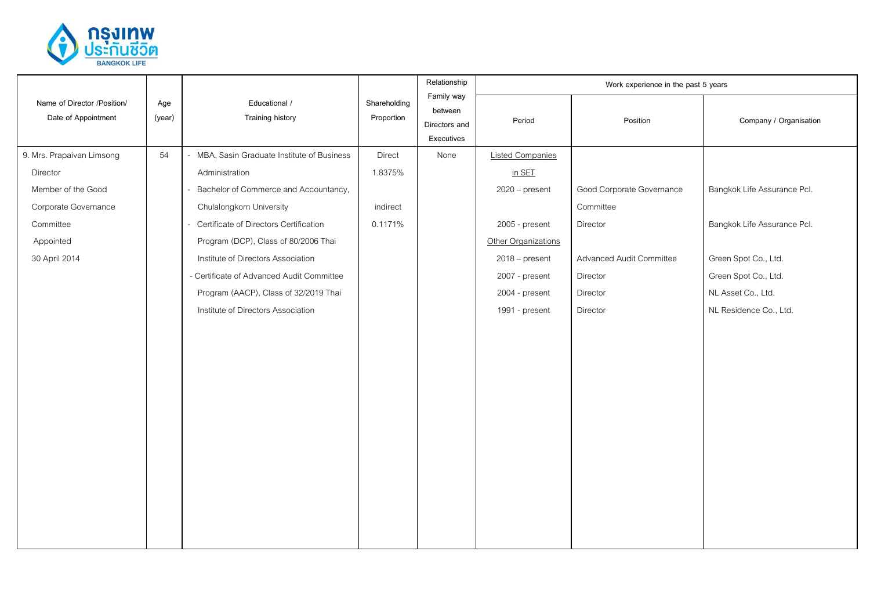

|                                                    |               | Educational /<br><b>Training history</b>    | Shareholding<br>Proportion | Relationship<br>Family way<br>between<br>Directors and<br>Executives | Work experience in the past 5 years |                           |                             |  |
|----------------------------------------------------|---------------|---------------------------------------------|----------------------------|----------------------------------------------------------------------|-------------------------------------|---------------------------|-----------------------------|--|
| Name of Director /Position/<br>Date of Appointment | Age<br>(year) |                                             |                            |                                                                      | Period                              | Position                  | Company / Organisation      |  |
| 9. Mrs. Prapaivan Limsong                          | 54            | - MBA, Sasin Graduate Institute of Business | Direct                     | None                                                                 | <b>Listed Companies</b>             |                           |                             |  |
| Director                                           |               | Administration                              | 1.8375%                    |                                                                      | in SET                              |                           |                             |  |
| Member of the Good                                 |               | - Bachelor of Commerce and Accountancy,     |                            |                                                                      | $2020$ – present                    | Good Corporate Governance | Bangkok Life Assurance Pcl. |  |
| Corporate Governance                               |               | Chulalongkorn University                    | indirect                   |                                                                      |                                     | Committee                 |                             |  |
| Committee                                          |               | - Certificate of Directors Certification    | 0.1171%                    |                                                                      | 2005 - present                      | Director                  | Bangkok Life Assurance Pcl. |  |
| Appointed                                          |               | Program (DCP), Class of 80/2006 Thai        |                            |                                                                      | Other Organizations                 |                           |                             |  |
| 30 April 2014                                      |               | Institute of Directors Association          |                            |                                                                      | $2018$ – present                    | Advanced Audit Committee  | Green Spot Co., Ltd.        |  |
|                                                    |               | - Certificate of Advanced Audit Committee   |                            |                                                                      | 2007 - present                      | Director                  | Green Spot Co., Ltd.        |  |
|                                                    |               | Program (AACP), Class of 32/2019 Thai       |                            |                                                                      | 2004 - present                      | Director                  | NL Asset Co., Ltd.          |  |
|                                                    |               | Institute of Directors Association          |                            |                                                                      | 1991 - present                      | Director                  | NL Residence Co., Ltd.      |  |
|                                                    |               |                                             |                            |                                                                      |                                     |                           |                             |  |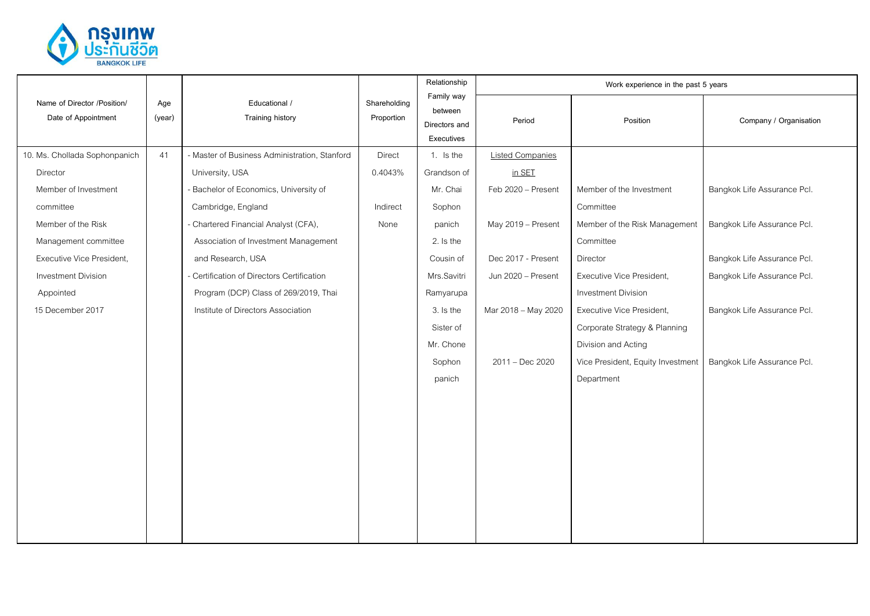

|                                                    |               | Educational /<br><b>Training history</b>      | Shareholding<br>Proportion | Relationship                                         | Work experience in the past 5 years |                                   |                             |  |
|----------------------------------------------------|---------------|-----------------------------------------------|----------------------------|------------------------------------------------------|-------------------------------------|-----------------------------------|-----------------------------|--|
| Name of Director /Position/<br>Date of Appointment | Age<br>(year) |                                               |                            | Family way<br>between<br>Directors and<br>Executives | Period                              | Position                          | Company / Organisation      |  |
| 10. Ms. Chollada Sophonpanich                      | 41            | - Master of Business Administration, Stanford | <b>Direct</b>              | 1. Is the                                            | <b>Listed Companies</b>             |                                   |                             |  |
| Director                                           |               | University, USA                               | 0.4043%                    | Grandson of                                          | in SET                              |                                   |                             |  |
| Member of Investment                               |               | - Bachelor of Economics, University of        |                            | Mr. Chai                                             | Feb 2020 - Present                  | Member of the Investment          | Bangkok Life Assurance Pcl. |  |
| committee                                          |               | Cambridge, England                            | Indirect                   | Sophon                                               |                                     | Committee                         |                             |  |
| Member of the Risk                                 |               | - Chartered Financial Analyst (CFA),          | None                       | panich                                               | May 2019 - Present                  | Member of the Risk Management     | Bangkok Life Assurance Pcl. |  |
| Management committee                               |               | Association of Investment Management          |                            | 2. Is the                                            |                                     | Committee                         |                             |  |
| Executive Vice President,                          |               | and Research, USA                             |                            | Cousin of                                            | Dec 2017 - Present                  | Director                          | Bangkok Life Assurance Pcl. |  |
| <b>Investment Division</b>                         |               | - Certification of Directors Certification    |                            | Mrs.Savitri                                          | Jun 2020 - Present                  | Executive Vice President,         | Bangkok Life Assurance Pcl. |  |
| Appointed                                          |               | Program (DCP) Class of 269/2019, Thai         |                            | Ramyarupa                                            |                                     | Investment Division               |                             |  |
| 15 December 2017                                   |               | Institute of Directors Association            |                            | 3. Is the                                            | Mar 2018 - May 2020                 | Executive Vice President,         | Bangkok Life Assurance Pcl. |  |
|                                                    |               |                                               |                            | Sister of                                            |                                     | Corporate Strategy & Planning     |                             |  |
|                                                    |               |                                               |                            | Mr. Chone                                            |                                     | Division and Acting               |                             |  |
|                                                    |               |                                               |                            | Sophon                                               | $2011 - Dec 2020$                   | Vice President, Equity Investment | Bangkok Life Assurance Pcl. |  |
|                                                    |               |                                               |                            | panich                                               |                                     | Department                        |                             |  |
|                                                    |               |                                               |                            |                                                      |                                     |                                   |                             |  |
|                                                    |               |                                               |                            |                                                      |                                     |                                   |                             |  |
|                                                    |               |                                               |                            |                                                      |                                     |                                   |                             |  |
|                                                    |               |                                               |                            |                                                      |                                     |                                   |                             |  |
|                                                    |               |                                               |                            |                                                      |                                     |                                   |                             |  |
|                                                    |               |                                               |                            |                                                      |                                     |                                   |                             |  |
|                                                    |               |                                               |                            |                                                      |                                     |                                   |                             |  |
|                                                    |               |                                               |                            |                                                      |                                     |                                   |                             |  |
|                                                    |               |                                               |                            |                                                      |                                     |                                   |                             |  |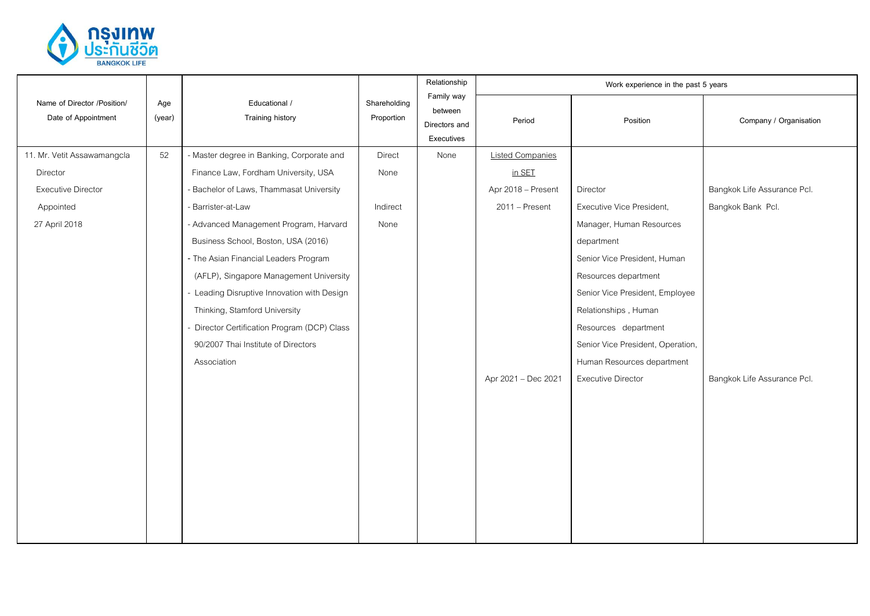

|                                                    |               | Educational /<br>Training history            | Shareholding<br>Proportion | Relationship<br>Family way<br>between<br>Directors and<br>Executives | Work experience in the past 5 years |                                   |                             |  |
|----------------------------------------------------|---------------|----------------------------------------------|----------------------------|----------------------------------------------------------------------|-------------------------------------|-----------------------------------|-----------------------------|--|
| Name of Director /Position/<br>Date of Appointment | Age<br>(year) |                                              |                            |                                                                      | Period                              | Position                          | Company / Organisation      |  |
| 11. Mr. Vetit Assawamangcla                        | 52            | - Master degree in Banking, Corporate and    | Direct                     | None                                                                 | <b>Listed Companies</b>             |                                   |                             |  |
| Director                                           |               | Finance Law, Fordham University, USA         | None                       |                                                                      | in SET                              |                                   |                             |  |
| <b>Executive Director</b>                          |               | - Bachelor of Laws, Thammasat University     |                            |                                                                      | Apr 2018 - Present                  | Director                          | Bangkok Life Assurance Pcl. |  |
| Appointed                                          |               | - Barrister-at-Law                           | Indirect                   |                                                                      | $2011 -$ Present                    | Executive Vice President,         | Bangkok Bank Pcl.           |  |
| 27 April 2018                                      |               | - Advanced Management Program, Harvard       | None                       |                                                                      |                                     | Manager, Human Resources          |                             |  |
|                                                    |               | Business School, Boston, USA (2016)          |                            |                                                                      |                                     | department                        |                             |  |
|                                                    |               | - The Asian Financial Leaders Program        |                            |                                                                      |                                     | Senior Vice President, Human      |                             |  |
|                                                    |               | (AFLP), Singapore Management University      |                            |                                                                      |                                     | Resources department              |                             |  |
|                                                    |               | - Leading Disruptive Innovation with Design  |                            |                                                                      |                                     | Senior Vice President, Employee   |                             |  |
|                                                    |               | Thinking, Stamford University                |                            |                                                                      |                                     | Relationships, Human              |                             |  |
|                                                    |               | - Director Certification Program (DCP) Class |                            |                                                                      |                                     | Resources department              |                             |  |
|                                                    |               | 90/2007 Thai Institute of Directors          |                            |                                                                      |                                     | Senior Vice President, Operation, |                             |  |
|                                                    |               | Association                                  |                            |                                                                      |                                     | Human Resources department        |                             |  |
|                                                    |               |                                              |                            |                                                                      | Apr 2021 - Dec 2021                 | Executive Director                | Bangkok Life Assurance Pcl. |  |
|                                                    |               |                                              |                            |                                                                      |                                     |                                   |                             |  |
|                                                    |               |                                              |                            |                                                                      |                                     |                                   |                             |  |
|                                                    |               |                                              |                            |                                                                      |                                     |                                   |                             |  |
|                                                    |               |                                              |                            |                                                                      |                                     |                                   |                             |  |
|                                                    |               |                                              |                            |                                                                      |                                     |                                   |                             |  |
|                                                    |               |                                              |                            |                                                                      |                                     |                                   |                             |  |
|                                                    |               |                                              |                            |                                                                      |                                     |                                   |                             |  |
|                                                    |               |                                              |                            |                                                                      |                                     |                                   |                             |  |
|                                                    |               |                                              |                            |                                                                      |                                     |                                   |                             |  |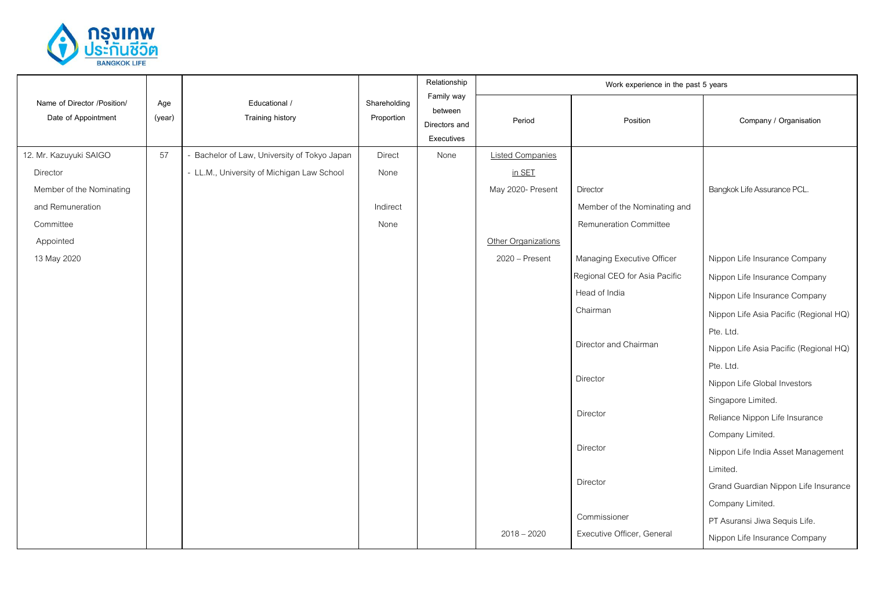

|                                                    |               | Educational /<br>Training history            | Shareholding<br>Proportion | Relationship<br>Family way<br>between<br>Directors and<br>Executives | Work experience in the past 5 years |                               |                                        |  |
|----------------------------------------------------|---------------|----------------------------------------------|----------------------------|----------------------------------------------------------------------|-------------------------------------|-------------------------------|----------------------------------------|--|
| Name of Director /Position/<br>Date of Appointment | Age<br>(year) |                                              |                            |                                                                      | Period                              | Position                      | Company / Organisation                 |  |
| 12. Mr. Kazuyuki SAIGO                             | 57            | - Bachelor of Law, University of Tokyo Japan | Direct                     | None                                                                 | <b>Listed Companies</b>             |                               |                                        |  |
| Director                                           |               | - LL.M., University of Michigan Law School   | None                       |                                                                      | in SET                              |                               |                                        |  |
| Member of the Nominating                           |               |                                              |                            |                                                                      | May 2020- Present                   | Director                      | Bangkok Life Assurance PCL.            |  |
| and Remuneration                                   |               |                                              | Indirect                   |                                                                      |                                     | Member of the Nominating and  |                                        |  |
| Committee                                          |               |                                              | None                       |                                                                      |                                     | <b>Remuneration Committee</b> |                                        |  |
| Appointed                                          |               |                                              |                            |                                                                      | Other Organizations                 |                               |                                        |  |
| 13 May 2020                                        |               |                                              |                            |                                                                      | 2020 - Present                      | Managing Executive Officer    | Nippon Life Insurance Company          |  |
|                                                    |               |                                              |                            |                                                                      |                                     | Regional CEO for Asia Pacific | Nippon Life Insurance Company          |  |
|                                                    |               |                                              |                            |                                                                      |                                     | Head of India                 | Nippon Life Insurance Company          |  |
|                                                    |               |                                              |                            |                                                                      |                                     | Chairman                      | Nippon Life Asia Pacific (Regional HQ) |  |
|                                                    |               |                                              |                            |                                                                      |                                     |                               | Pte. Ltd.                              |  |
|                                                    |               |                                              |                            |                                                                      |                                     | Director and Chairman         | Nippon Life Asia Pacific (Regional HQ) |  |
|                                                    |               |                                              |                            |                                                                      |                                     |                               | Pte. Ltd.                              |  |
|                                                    |               |                                              |                            |                                                                      |                                     | Director                      | Nippon Life Global Investors           |  |
|                                                    |               |                                              |                            |                                                                      |                                     |                               | Singapore Limited.                     |  |
|                                                    |               |                                              |                            |                                                                      |                                     | Director                      | Reliance Nippon Life Insurance         |  |
|                                                    |               |                                              |                            |                                                                      |                                     |                               | Company Limited.                       |  |
|                                                    |               |                                              |                            |                                                                      |                                     | Director                      | Nippon Life India Asset Management     |  |
|                                                    |               |                                              |                            |                                                                      |                                     |                               | Limited.                               |  |
|                                                    |               |                                              |                            |                                                                      |                                     | Director                      | Grand Guardian Nippon Life Insurance   |  |
|                                                    |               |                                              |                            |                                                                      |                                     |                               | Company Limited.                       |  |
|                                                    |               |                                              |                            |                                                                      |                                     | Commissioner                  | PT Asuransi Jiwa Sequis Life.          |  |
|                                                    |               |                                              |                            |                                                                      | $2018 - 2020$                       | Executive Officer, General    | Nippon Life Insurance Company          |  |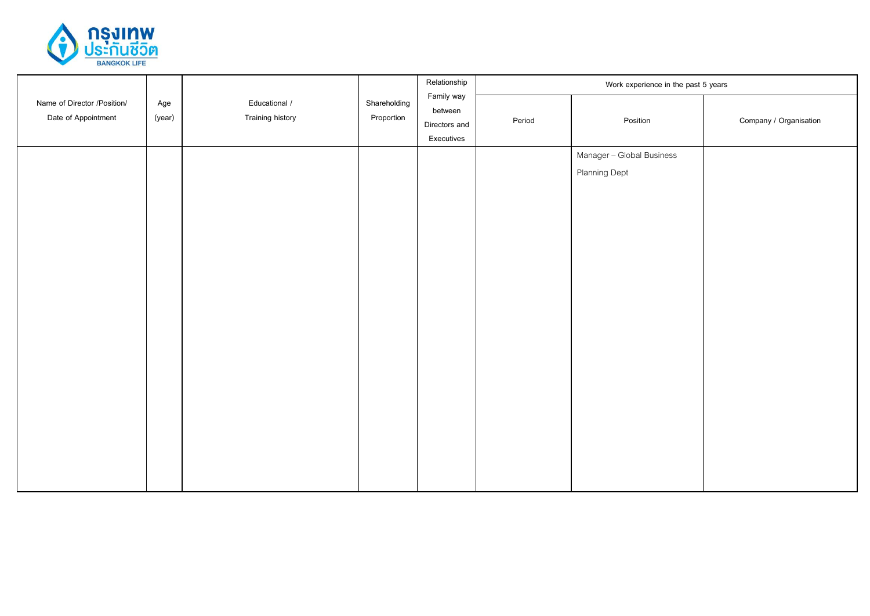

|                                                    |               |                                   |                            | Relationship                                         | Work experience in the past 5 years |                                                   |                        |  |
|----------------------------------------------------|---------------|-----------------------------------|----------------------------|------------------------------------------------------|-------------------------------------|---------------------------------------------------|------------------------|--|
| Name of Director /Position/<br>Date of Appointment | Age<br>(year) | Educational /<br>Training history | Shareholding<br>Proportion | Family way<br>between<br>Directors and<br>Executives | Period                              | Position                                          | Company / Organisation |  |
|                                                    |               |                                   |                            |                                                      |                                     | Manager - Global Business<br><b>Planning Dept</b> |                        |  |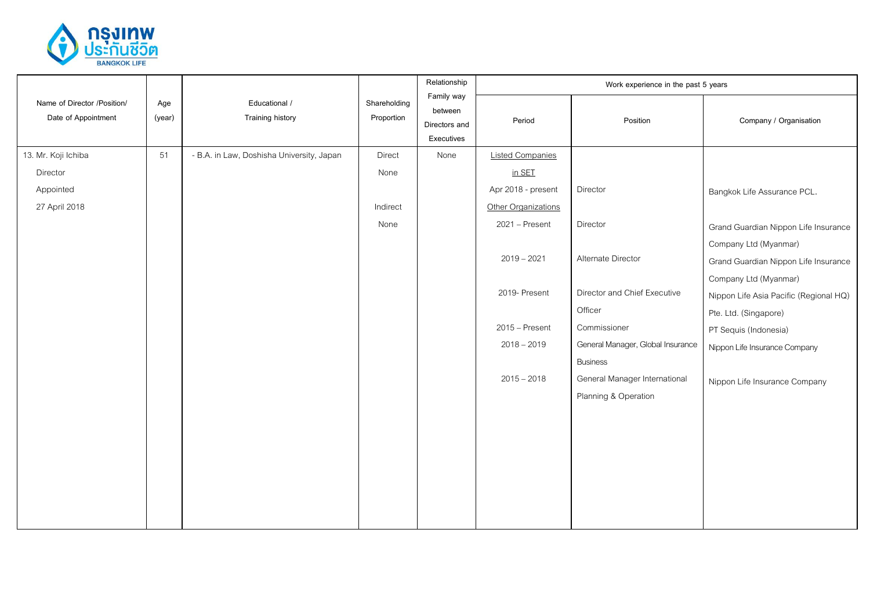

|                                                    |               | Educational /<br>Training history         | Shareholding<br>Proportion | Relationship                                         | Work experience in the past 5 years |                                   |                                        |  |
|----------------------------------------------------|---------------|-------------------------------------------|----------------------------|------------------------------------------------------|-------------------------------------|-----------------------------------|----------------------------------------|--|
| Name of Director /Position/<br>Date of Appointment | Age<br>(year) |                                           |                            | Family way<br>between<br>Directors and<br>Executives | Period                              | Position                          | Company / Organisation                 |  |
| 13. Mr. Koji Ichiba                                | 51            | - B.A. in Law, Doshisha University, Japan | Direct                     | None                                                 | <b>Listed Companies</b>             |                                   |                                        |  |
| Director                                           |               |                                           | None                       |                                                      | in SET                              |                                   |                                        |  |
| Appointed                                          |               |                                           |                            |                                                      | Apr 2018 - present                  | Director                          | Bangkok Life Assurance PCL.            |  |
| 27 April 2018                                      |               |                                           | Indirect                   |                                                      | Other Organizations                 |                                   |                                        |  |
|                                                    |               |                                           | None                       |                                                      | 2021 - Present                      | Director                          | Grand Guardian Nippon Life Insurance   |  |
|                                                    |               |                                           |                            |                                                      |                                     |                                   | Company Ltd (Myanmar)                  |  |
|                                                    |               |                                           |                            |                                                      | $2019 - 2021$                       | Alternate Director                | Grand Guardian Nippon Life Insurance   |  |
|                                                    |               |                                           |                            |                                                      |                                     |                                   | Company Ltd (Myanmar)                  |  |
|                                                    |               |                                           |                            |                                                      | 2019- Present                       | Director and Chief Executive      | Nippon Life Asia Pacific (Regional HQ) |  |
|                                                    |               |                                           |                            |                                                      |                                     | Officer                           | Pte. Ltd. (Singapore)                  |  |
|                                                    |               |                                           |                            |                                                      | $2015 -$ Present                    | Commissioner                      | PT Sequis (Indonesia)                  |  |
|                                                    |               |                                           |                            |                                                      | $2018 - 2019$                       | General Manager, Global Insurance | Nippon Life Insurance Company          |  |
|                                                    |               |                                           |                            |                                                      |                                     | <b>Business</b>                   |                                        |  |
|                                                    |               |                                           |                            |                                                      | $2015 - 2018$                       | General Manager International     | Nippon Life Insurance Company          |  |
|                                                    |               |                                           |                            |                                                      |                                     | Planning & Operation              |                                        |  |
|                                                    |               |                                           |                            |                                                      |                                     |                                   |                                        |  |
|                                                    |               |                                           |                            |                                                      |                                     |                                   |                                        |  |
|                                                    |               |                                           |                            |                                                      |                                     |                                   |                                        |  |
|                                                    |               |                                           |                            |                                                      |                                     |                                   |                                        |  |
|                                                    |               |                                           |                            |                                                      |                                     |                                   |                                        |  |
|                                                    |               |                                           |                            |                                                      |                                     |                                   |                                        |  |
|                                                    |               |                                           |                            |                                                      |                                     |                                   |                                        |  |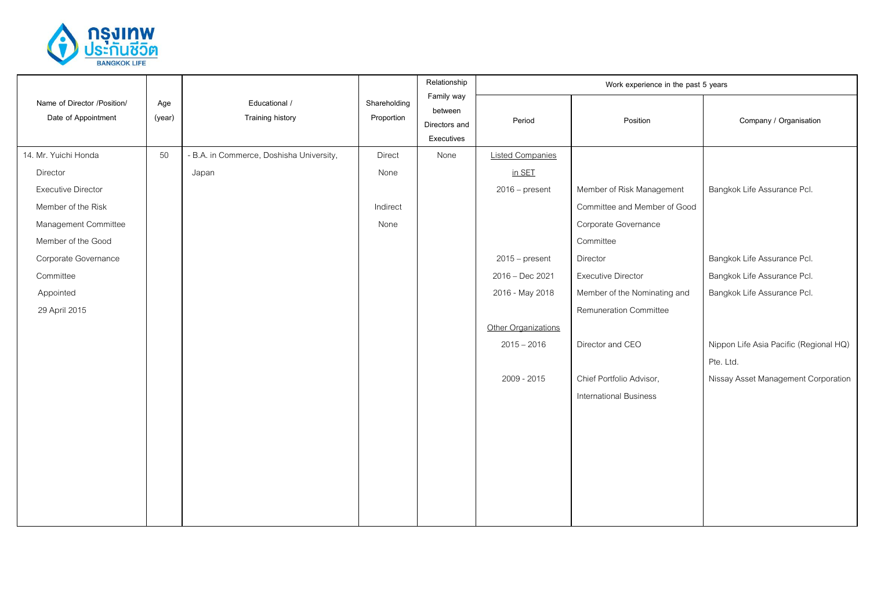

|                                                    |               | Educational /<br>Training history        | Shareholding<br>Proportion | Relationship                                         | Work experience in the past 5 years |                               |                                        |  |
|----------------------------------------------------|---------------|------------------------------------------|----------------------------|------------------------------------------------------|-------------------------------------|-------------------------------|----------------------------------------|--|
| Name of Director /Position/<br>Date of Appointment | Age<br>(year) |                                          |                            | Family way<br>between<br>Directors and<br>Executives | Period                              | Position                      | Company / Organisation                 |  |
| 14. Mr. Yuichi Honda                               | 50            | - B.A. in Commerce, Doshisha University, | Direct                     | None                                                 | <b>Listed Companies</b>             |                               |                                        |  |
| Director                                           |               | Japan                                    | None                       |                                                      | in SET                              |                               |                                        |  |
| <b>Executive Director</b>                          |               |                                          |                            |                                                      | $2016$ – present                    | Member of Risk Management     | Bangkok Life Assurance Pcl.            |  |
| Member of the Risk                                 |               |                                          | Indirect                   |                                                      |                                     | Committee and Member of Good  |                                        |  |
| Management Committee                               |               |                                          | None                       |                                                      |                                     | Corporate Governance          |                                        |  |
| Member of the Good                                 |               |                                          |                            |                                                      |                                     | Committee                     |                                        |  |
| Corporate Governance                               |               |                                          |                            |                                                      | $2015$ – present                    | Director                      | Bangkok Life Assurance Pcl.            |  |
| Committee                                          |               |                                          |                            |                                                      | 2016 - Dec 2021                     | <b>Executive Director</b>     | Bangkok Life Assurance Pcl.            |  |
| Appointed                                          |               |                                          |                            |                                                      | 2016 - May 2018                     | Member of the Nominating and  | Bangkok Life Assurance Pcl.            |  |
| 29 April 2015                                      |               |                                          |                            |                                                      |                                     | Remuneration Committee        |                                        |  |
|                                                    |               |                                          |                            |                                                      | Other Organizations                 |                               |                                        |  |
|                                                    |               |                                          |                            |                                                      | $2015 - 2016$                       | Director and CEO              | Nippon Life Asia Pacific (Regional HQ) |  |
|                                                    |               |                                          |                            |                                                      |                                     |                               | Pte. Ltd.                              |  |
|                                                    |               |                                          |                            |                                                      | 2009 - 2015                         | Chief Portfolio Advisor,      | Nissay Asset Management Corporation    |  |
|                                                    |               |                                          |                            |                                                      |                                     | <b>International Business</b> |                                        |  |
|                                                    |               |                                          |                            |                                                      |                                     |                               |                                        |  |
|                                                    |               |                                          |                            |                                                      |                                     |                               |                                        |  |
|                                                    |               |                                          |                            |                                                      |                                     |                               |                                        |  |
|                                                    |               |                                          |                            |                                                      |                                     |                               |                                        |  |
|                                                    |               |                                          |                            |                                                      |                                     |                               |                                        |  |
|                                                    |               |                                          |                            |                                                      |                                     |                               |                                        |  |
|                                                    |               |                                          |                            |                                                      |                                     |                               |                                        |  |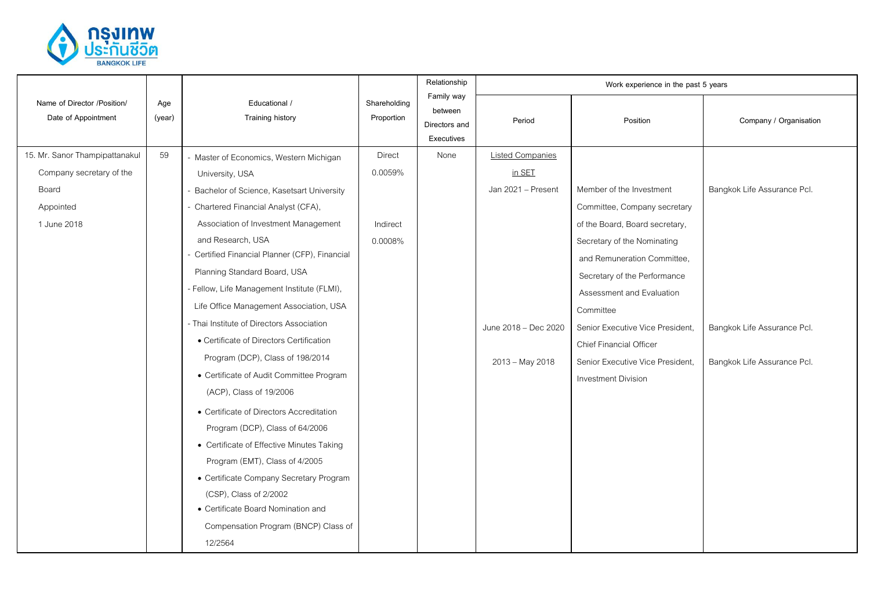

|                                                    |               |                                                |                            | Relationship                                         |                         | Work experience in the past 5 years |                             |
|----------------------------------------------------|---------------|------------------------------------------------|----------------------------|------------------------------------------------------|-------------------------|-------------------------------------|-----------------------------|
| Name of Director /Position/<br>Date of Appointment | Age<br>(year) | Educational /<br>Training history              | Shareholding<br>Proportion | Family way<br>between<br>Directors and<br>Executives | Period                  | Position                            | Company / Organisation      |
| 15. Mr. Sanor Thampipattanakul                     | 59            | - Master of Economics, Western Michigan        | <b>Direct</b>              | None                                                 | <b>Listed Companies</b> |                                     |                             |
| Company secretary of the                           |               | University, USA                                | 0.0059%                    |                                                      | in SET                  |                                     |                             |
| Board                                              |               | Bachelor of Science, Kasetsart University      |                            |                                                      | Jan 2021 - Present      | Member of the Investment            | Bangkok Life Assurance Pcl. |
| Appointed                                          |               | - Chartered Financial Analyst (CFA),           |                            |                                                      |                         | Committee, Company secretary        |                             |
| 1 June 2018                                        |               | Association of Investment Management           | Indirect                   |                                                      |                         | of the Board, Board secretary,      |                             |
|                                                    |               | and Research, USA                              | 0.0008%                    |                                                      |                         | Secretary of the Nominating         |                             |
|                                                    |               | - Certified Financial Planner (CFP), Financial |                            |                                                      |                         | and Remuneration Committee,         |                             |
|                                                    |               | Planning Standard Board, USA                   |                            |                                                      |                         | Secretary of the Performance        |                             |
|                                                    |               | - Fellow, Life Management Institute (FLMI),    |                            |                                                      |                         | Assessment and Evaluation           |                             |
|                                                    |               | Life Office Management Association, USA        |                            |                                                      |                         | Committee                           |                             |
|                                                    |               | - Thai Institute of Directors Association      |                            |                                                      | June 2018 - Dec 2020    | Senior Executive Vice President,    | Bangkok Life Assurance Pcl. |
|                                                    |               | • Certificate of Directors Certification       |                            |                                                      |                         | Chief Financial Officer             |                             |
|                                                    |               | Program (DCP), Class of 198/2014               |                            |                                                      | 2013 - May 2018         | Senior Executive Vice President,    | Bangkok Life Assurance Pcl. |
|                                                    |               | • Certificate of Audit Committee Program       |                            |                                                      |                         | Investment Division                 |                             |
|                                                    |               | (ACP), Class of 19/2006                        |                            |                                                      |                         |                                     |                             |
|                                                    |               | • Certificate of Directors Accreditation       |                            |                                                      |                         |                                     |                             |
|                                                    |               | Program (DCP), Class of 64/2006                |                            |                                                      |                         |                                     |                             |
|                                                    |               | • Certificate of Effective Minutes Taking      |                            |                                                      |                         |                                     |                             |
|                                                    |               | Program (EMT), Class of 4/2005                 |                            |                                                      |                         |                                     |                             |
|                                                    |               | • Certificate Company Secretary Program        |                            |                                                      |                         |                                     |                             |
|                                                    |               | (CSP), Class of 2/2002                         |                            |                                                      |                         |                                     |                             |
|                                                    |               | • Certificate Board Nomination and             |                            |                                                      |                         |                                     |                             |
|                                                    |               | Compensation Program (BNCP) Class of           |                            |                                                      |                         |                                     |                             |
|                                                    |               | 12/2564                                        |                            |                                                      |                         |                                     |                             |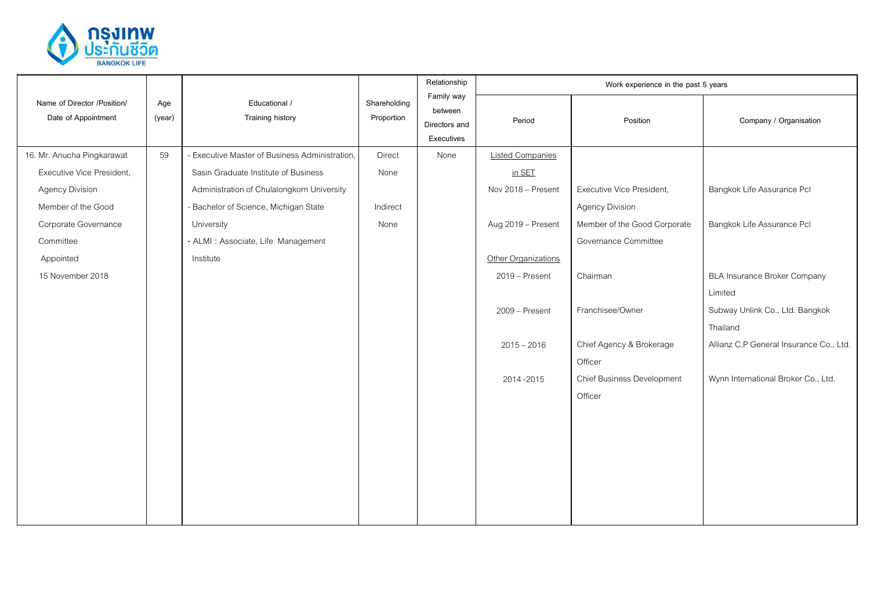

|                                                    |               | Educational /<br>Training history              |                            | Relationship                                         | Work experience in the past 5 years |                              |                                         |  |
|----------------------------------------------------|---------------|------------------------------------------------|----------------------------|------------------------------------------------------|-------------------------------------|------------------------------|-----------------------------------------|--|
| Name of Director /Position/<br>Date of Appointment | Age<br>(year) |                                                | Shareholding<br>Proportion | Family way<br>between<br>Directors and<br>Executives | Period                              | Position                     | Company / Organisation                  |  |
| 16. Mr. Anucha Pingkarawat                         | 59            | - Executive Master of Business Administration, | Direct                     | None                                                 | <b>Listed Companies</b>             |                              |                                         |  |
| Executive Vice President,                          |               | Sasin Graduate Institute of Business           | None                       |                                                      | in SET                              |                              |                                         |  |
| <b>Agency Division</b>                             |               | Administration of Chulalongkorn University     |                            |                                                      | Nov 2018 - Present                  | Executive Vice President,    | Bangkok Life Assurance Pcl              |  |
| Member of the Good                                 |               | - Bachelor of Science, Michigan State          | Indirect                   |                                                      |                                     | <b>Agency Division</b>       |                                         |  |
| Corporate Governance                               |               | University                                     | None                       |                                                      | Aug 2019 - Present                  | Member of the Good Corporate | Bangkok Life Assurance Pcl              |  |
| Committee                                          |               | - ALMI : Associate, Life Management            |                            |                                                      |                                     | Governance Committee         |                                         |  |
| Appointed                                          |               | Institute                                      |                            |                                                      | Other Organizations                 |                              |                                         |  |
| 15 November 2018                                   |               |                                                |                            |                                                      | 2019 - Present                      | Chairman                     | <b>BLA Insurance Broker Company</b>     |  |
|                                                    |               |                                                |                            |                                                      |                                     |                              | Limited                                 |  |
|                                                    |               |                                                |                            |                                                      | 2009 - Present                      | Franchisee/Owner             | Subway Unlink Co., Ltd. Bangkok         |  |
|                                                    |               |                                                |                            |                                                      |                                     |                              | Thailand                                |  |
|                                                    |               |                                                |                            |                                                      | $2015 - 2016$                       | Chief Agency & Brokerage     | Allianz C.P General Insurance Co., Ltd. |  |
|                                                    |               |                                                |                            |                                                      |                                     | Officer                      |                                         |  |
|                                                    |               |                                                |                            |                                                      | 2014-2015                           | Chief Business Development   | Wynn International Broker Co., Ltd.     |  |
|                                                    |               |                                                |                            |                                                      |                                     | Officer                      |                                         |  |
|                                                    |               |                                                |                            |                                                      |                                     |                              |                                         |  |
|                                                    |               |                                                |                            |                                                      |                                     |                              |                                         |  |
|                                                    |               |                                                |                            |                                                      |                                     |                              |                                         |  |
|                                                    |               |                                                |                            |                                                      |                                     |                              |                                         |  |
|                                                    |               |                                                |                            |                                                      |                                     |                              |                                         |  |
|                                                    |               |                                                |                            |                                                      |                                     |                              |                                         |  |
|                                                    |               |                                                |                            |                                                      |                                     |                              |                                         |  |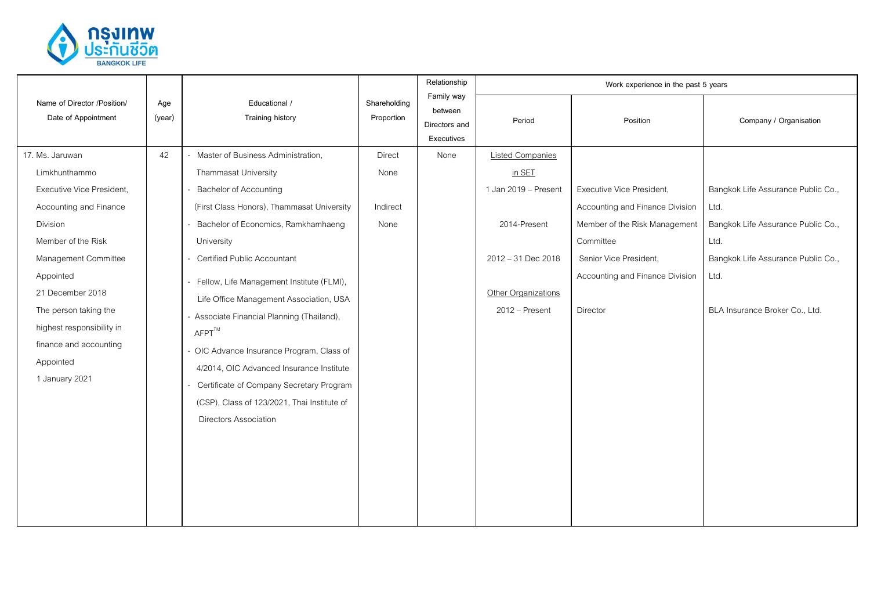

|                                                                                                             |               |                                                                                                                                                                                                                                                                                                                              |                            | Relationship                                         |                         | Work experience in the past 5 years |                                    |
|-------------------------------------------------------------------------------------------------------------|---------------|------------------------------------------------------------------------------------------------------------------------------------------------------------------------------------------------------------------------------------------------------------------------------------------------------------------------------|----------------------------|------------------------------------------------------|-------------------------|-------------------------------------|------------------------------------|
| Name of Director /Position/<br>Date of Appointment                                                          | Age<br>(year) | Educational /<br><b>Training history</b>                                                                                                                                                                                                                                                                                     | Shareholding<br>Proportion | Family way<br>between<br>Directors and<br>Executives | Period                  | Position                            | Company / Organisation             |
| 17. Ms. Jaruwan                                                                                             | 42            | Master of Business Administration,                                                                                                                                                                                                                                                                                           | <b>Direct</b>              | None                                                 | <b>Listed Companies</b> |                                     |                                    |
| Limkhunthammo                                                                                               |               | Thammasat University                                                                                                                                                                                                                                                                                                         | None                       |                                                      | in SET                  |                                     |                                    |
| Executive Vice President,                                                                                   |               | <b>Bachelor of Accounting</b>                                                                                                                                                                                                                                                                                                |                            |                                                      | 1 Jan 2019 - Present    | Executive Vice President,           | Bangkok Life Assurance Public Co., |
| Accounting and Finance                                                                                      |               | (First Class Honors), Thammasat University                                                                                                                                                                                                                                                                                   | Indirect                   |                                                      |                         | Accounting and Finance Division     | Ltd.                               |
| Division                                                                                                    |               | Bachelor of Economics, Ramkhamhaeng                                                                                                                                                                                                                                                                                          | None                       |                                                      | 2014-Present            | Member of the Risk Management       | Bangkok Life Assurance Public Co., |
| Member of the Risk                                                                                          |               | University                                                                                                                                                                                                                                                                                                                   |                            |                                                      |                         | Committee                           | Ltd.                               |
| Management Committee                                                                                        |               | Certified Public Accountant                                                                                                                                                                                                                                                                                                  |                            |                                                      | 2012 - 31 Dec 2018      | Senior Vice President,              | Bangkok Life Assurance Public Co., |
| Appointed<br>21 December 2018                                                                               |               | Fellow, Life Management Institute (FLMI),                                                                                                                                                                                                                                                                                    |                            |                                                      | Other Organizations     | Accounting and Finance Division     | Ltd.                               |
| The person taking the<br>highest responsibility in<br>finance and accounting<br>Appointed<br>1 January 2021 |               | Life Office Management Association, USA<br>- Associate Financial Planning (Thailand),<br>$A$ FPT $^{TM}$<br>- OIC Advance Insurance Program, Class of<br>4/2014, OIC Advanced Insurance Institute<br>Certificate of Company Secretary Program<br>(CSP), Class of 123/2021, Thai Institute of<br><b>Directors Association</b> |                            |                                                      | 2012 - Present          | Director                            | BLA Insurance Broker Co., Ltd.     |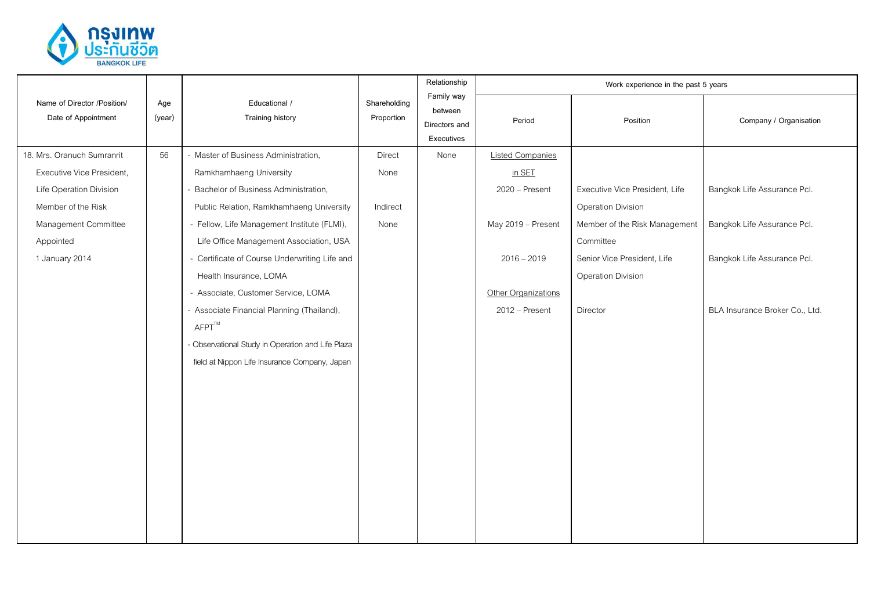

|                                                    | Age<br>(year) | Educational /<br><b>Training history</b>          | Shareholding<br>Proportion | Relationship                                         | Work experience in the past 5 years |                                |                                |  |
|----------------------------------------------------|---------------|---------------------------------------------------|----------------------------|------------------------------------------------------|-------------------------------------|--------------------------------|--------------------------------|--|
| Name of Director /Position/<br>Date of Appointment |               |                                                   |                            | Family way<br>between<br>Directors and<br>Executives | Period                              | Position                       | Company / Organisation         |  |
| 18. Mrs. Oranuch Sumranrit                         | 56            | - Master of Business Administration,              | <b>Direct</b>              | None                                                 | <b>Listed Companies</b>             |                                |                                |  |
| Executive Vice President,                          |               | Ramkhamhaeng University                           | None                       |                                                      | in SET                              |                                |                                |  |
| Life Operation Division                            |               | Bachelor of Business Administration,              |                            |                                                      | 2020 - Present                      | Executive Vice President, Life | Bangkok Life Assurance Pcl.    |  |
| Member of the Risk                                 |               | Public Relation, Ramkhamhaeng University          | Indirect                   |                                                      |                                     | Operation Division             |                                |  |
| Management Committee                               |               | - Fellow, Life Management Institute (FLMI),       | None                       |                                                      | May 2019 - Present                  | Member of the Risk Management  | Bangkok Life Assurance Pcl.    |  |
| Appointed                                          |               | Life Office Management Association, USA           |                            |                                                      |                                     | Committee                      |                                |  |
| 1 January 2014                                     |               | - Certificate of Course Underwriting Life and     |                            |                                                      | $2016 - 2019$                       | Senior Vice President, Life    | Bangkok Life Assurance Pcl.    |  |
|                                                    |               | Health Insurance, LOMA                            |                            |                                                      |                                     | Operation Division             |                                |  |
|                                                    |               | - Associate, Customer Service, LOMA               |                            |                                                      | Other Organizations                 |                                |                                |  |
|                                                    |               | - Associate Financial Planning (Thailand),        |                            |                                                      | 2012 - Present                      | Director                       | BLA Insurance Broker Co., Ltd. |  |
|                                                    |               | $A$ FPT $^{TM}$                                   |                            |                                                      |                                     |                                |                                |  |
|                                                    |               | - Observational Study in Operation and Life Plaza |                            |                                                      |                                     |                                |                                |  |
|                                                    |               | field at Nippon Life Insurance Company, Japan     |                            |                                                      |                                     |                                |                                |  |
|                                                    |               |                                                   |                            |                                                      |                                     |                                |                                |  |
|                                                    |               |                                                   |                            |                                                      |                                     |                                |                                |  |
|                                                    |               |                                                   |                            |                                                      |                                     |                                |                                |  |
|                                                    |               |                                                   |                            |                                                      |                                     |                                |                                |  |
|                                                    |               |                                                   |                            |                                                      |                                     |                                |                                |  |
|                                                    |               |                                                   |                            |                                                      |                                     |                                |                                |  |
|                                                    |               |                                                   |                            |                                                      |                                     |                                |                                |  |
|                                                    |               |                                                   |                            |                                                      |                                     |                                |                                |  |
|                                                    |               |                                                   |                            |                                                      |                                     |                                |                                |  |
|                                                    |               |                                                   |                            |                                                      |                                     |                                |                                |  |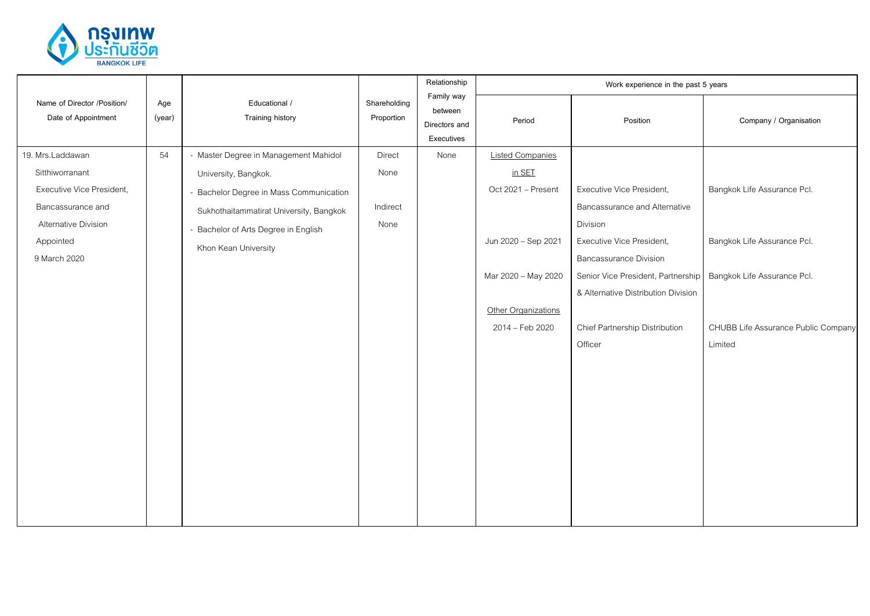

|                                                    | Age<br>(year) | Educational /<br>Training history       | Shareholding<br>Proportion | Relationship                                         | Work experience in the past 5 years |                                     |                                     |
|----------------------------------------------------|---------------|-----------------------------------------|----------------------------|------------------------------------------------------|-------------------------------------|-------------------------------------|-------------------------------------|
| Name of Director /Position/<br>Date of Appointment |               |                                         |                            | Family way<br>between<br>Directors and<br>Executives | Period                              | Position                            | Company / Organisation              |
| 19. Mrs.Laddawan                                   | 54            | - Master Degree in Management Mahidol   | Direct                     | None                                                 | <b>Listed Companies</b>             |                                     |                                     |
| Sitthiworranant                                    |               | University, Bangkok.                    | None                       |                                                      | in SET                              |                                     |                                     |
| Executive Vice President,                          |               | - Bachelor Degree in Mass Communication |                            |                                                      | Oct 2021 - Present                  | Executive Vice President,           | Bangkok Life Assurance Pcl.         |
| Bancassurance and                                  |               | Sukhothaitammatirat University, Bangkok | Indirect                   |                                                      |                                     | Bancassurance and Alternative       |                                     |
| Alternative Division                               |               | - Bachelor of Arts Degree in English    | None                       |                                                      |                                     | Division                            |                                     |
| Appointed                                          |               | Khon Kean University                    |                            |                                                      | Jun 2020 - Sep 2021                 | Executive Vice President,           | Bangkok Life Assurance Pcl.         |
| 9 March 2020                                       |               |                                         |                            |                                                      | <b>Bancassurance Division</b>       |                                     |                                     |
|                                                    |               |                                         |                            |                                                      | Mar 2020 - May 2020                 | Senior Vice President, Partnership  | Bangkok Life Assurance Pcl.         |
|                                                    |               |                                         |                            |                                                      |                                     | & Alternative Distribution Division |                                     |
|                                                    |               |                                         |                            |                                                      | Other Organizations                 |                                     |                                     |
|                                                    |               |                                         |                            |                                                      | 2014 - Feb 2020                     | Chief Partnership Distribution      | CHUBB Life Assurance Public Company |
|                                                    |               |                                         |                            |                                                      |                                     | Officer                             | Limited                             |
|                                                    |               |                                         |                            |                                                      |                                     |                                     |                                     |
|                                                    |               |                                         |                            |                                                      |                                     |                                     |                                     |
|                                                    |               |                                         |                            |                                                      |                                     |                                     |                                     |
|                                                    |               |                                         |                            |                                                      |                                     |                                     |                                     |
|                                                    |               |                                         |                            |                                                      |                                     |                                     |                                     |
|                                                    |               |                                         |                            |                                                      |                                     |                                     |                                     |
|                                                    |               |                                         |                            |                                                      |                                     |                                     |                                     |
|                                                    |               |                                         |                            |                                                      |                                     |                                     |                                     |
|                                                    |               |                                         |                            |                                                      |                                     |                                     |                                     |
|                                                    |               |                                         |                            |                                                      |                                     |                                     |                                     |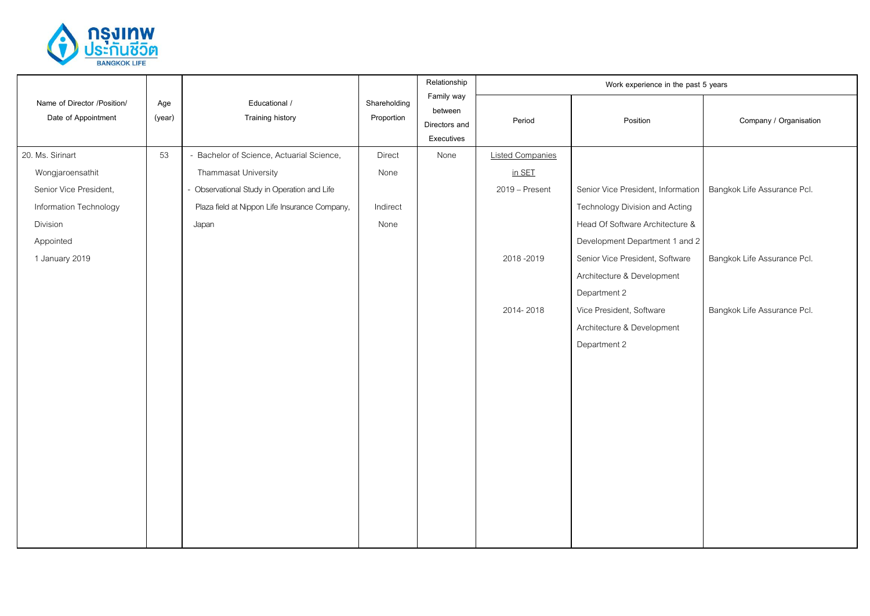

| Educational /<br>Name of Director /Position/<br>Shareholding<br>Age<br>between<br>Date of Appointment<br><b>Training history</b><br>(year)<br>Proportion<br>Period<br>Company / Organisation<br>Position<br>Directors and<br>Executives<br>20. Ms. Sirinart<br>53<br>- Bachelor of Science, Actuarial Science,<br>Direct<br>None<br><b>Listed Companies</b><br>Thammasat University<br>in SET<br>Wongjaroensathit<br>None<br>- Observational Study in Operation and Life<br>Senior Vice President,<br>2019 - Present<br>Senior Vice President, Information<br>Bangkok Life Assurance Pcl.<br>Information Technology<br>Plaza field at Nippon Life Insurance Company,<br>Technology Division and Acting<br>Indirect<br>Head Of Software Architecture &<br>Division<br>None<br>Japan<br>Development Department 1 and 2<br>Appointed<br>1 January 2019<br>2018-2019<br>Senior Vice President, Software<br>Bangkok Life Assurance Pcl.<br>Architecture & Development<br>Department 2<br>2014-2018<br>Vice President, Software<br>Bangkok Life Assurance Pcl.<br>Architecture & Development |  |  | Relationship | Work experience in the past 5 years |  |
|----------------------------------------------------------------------------------------------------------------------------------------------------------------------------------------------------------------------------------------------------------------------------------------------------------------------------------------------------------------------------------------------------------------------------------------------------------------------------------------------------------------------------------------------------------------------------------------------------------------------------------------------------------------------------------------------------------------------------------------------------------------------------------------------------------------------------------------------------------------------------------------------------------------------------------------------------------------------------------------------------------------------------------------------------------------------------------------|--|--|--------------|-------------------------------------|--|
|                                                                                                                                                                                                                                                                                                                                                                                                                                                                                                                                                                                                                                                                                                                                                                                                                                                                                                                                                                                                                                                                                        |  |  | Family way   |                                     |  |
|                                                                                                                                                                                                                                                                                                                                                                                                                                                                                                                                                                                                                                                                                                                                                                                                                                                                                                                                                                                                                                                                                        |  |  |              |                                     |  |
|                                                                                                                                                                                                                                                                                                                                                                                                                                                                                                                                                                                                                                                                                                                                                                                                                                                                                                                                                                                                                                                                                        |  |  |              |                                     |  |
|                                                                                                                                                                                                                                                                                                                                                                                                                                                                                                                                                                                                                                                                                                                                                                                                                                                                                                                                                                                                                                                                                        |  |  |              |                                     |  |
|                                                                                                                                                                                                                                                                                                                                                                                                                                                                                                                                                                                                                                                                                                                                                                                                                                                                                                                                                                                                                                                                                        |  |  |              |                                     |  |
|                                                                                                                                                                                                                                                                                                                                                                                                                                                                                                                                                                                                                                                                                                                                                                                                                                                                                                                                                                                                                                                                                        |  |  |              |                                     |  |
|                                                                                                                                                                                                                                                                                                                                                                                                                                                                                                                                                                                                                                                                                                                                                                                                                                                                                                                                                                                                                                                                                        |  |  |              |                                     |  |
|                                                                                                                                                                                                                                                                                                                                                                                                                                                                                                                                                                                                                                                                                                                                                                                                                                                                                                                                                                                                                                                                                        |  |  |              |                                     |  |
|                                                                                                                                                                                                                                                                                                                                                                                                                                                                                                                                                                                                                                                                                                                                                                                                                                                                                                                                                                                                                                                                                        |  |  |              |                                     |  |
|                                                                                                                                                                                                                                                                                                                                                                                                                                                                                                                                                                                                                                                                                                                                                                                                                                                                                                                                                                                                                                                                                        |  |  |              |                                     |  |
|                                                                                                                                                                                                                                                                                                                                                                                                                                                                                                                                                                                                                                                                                                                                                                                                                                                                                                                                                                                                                                                                                        |  |  |              |                                     |  |
|                                                                                                                                                                                                                                                                                                                                                                                                                                                                                                                                                                                                                                                                                                                                                                                                                                                                                                                                                                                                                                                                                        |  |  |              |                                     |  |
| Department 2                                                                                                                                                                                                                                                                                                                                                                                                                                                                                                                                                                                                                                                                                                                                                                                                                                                                                                                                                                                                                                                                           |  |  |              |                                     |  |
|                                                                                                                                                                                                                                                                                                                                                                                                                                                                                                                                                                                                                                                                                                                                                                                                                                                                                                                                                                                                                                                                                        |  |  |              |                                     |  |
|                                                                                                                                                                                                                                                                                                                                                                                                                                                                                                                                                                                                                                                                                                                                                                                                                                                                                                                                                                                                                                                                                        |  |  |              |                                     |  |
|                                                                                                                                                                                                                                                                                                                                                                                                                                                                                                                                                                                                                                                                                                                                                                                                                                                                                                                                                                                                                                                                                        |  |  |              |                                     |  |
|                                                                                                                                                                                                                                                                                                                                                                                                                                                                                                                                                                                                                                                                                                                                                                                                                                                                                                                                                                                                                                                                                        |  |  |              |                                     |  |
|                                                                                                                                                                                                                                                                                                                                                                                                                                                                                                                                                                                                                                                                                                                                                                                                                                                                                                                                                                                                                                                                                        |  |  |              |                                     |  |
|                                                                                                                                                                                                                                                                                                                                                                                                                                                                                                                                                                                                                                                                                                                                                                                                                                                                                                                                                                                                                                                                                        |  |  |              |                                     |  |
|                                                                                                                                                                                                                                                                                                                                                                                                                                                                                                                                                                                                                                                                                                                                                                                                                                                                                                                                                                                                                                                                                        |  |  |              |                                     |  |
|                                                                                                                                                                                                                                                                                                                                                                                                                                                                                                                                                                                                                                                                                                                                                                                                                                                                                                                                                                                                                                                                                        |  |  |              |                                     |  |
|                                                                                                                                                                                                                                                                                                                                                                                                                                                                                                                                                                                                                                                                                                                                                                                                                                                                                                                                                                                                                                                                                        |  |  |              |                                     |  |
|                                                                                                                                                                                                                                                                                                                                                                                                                                                                                                                                                                                                                                                                                                                                                                                                                                                                                                                                                                                                                                                                                        |  |  |              |                                     |  |
|                                                                                                                                                                                                                                                                                                                                                                                                                                                                                                                                                                                                                                                                                                                                                                                                                                                                                                                                                                                                                                                                                        |  |  |              |                                     |  |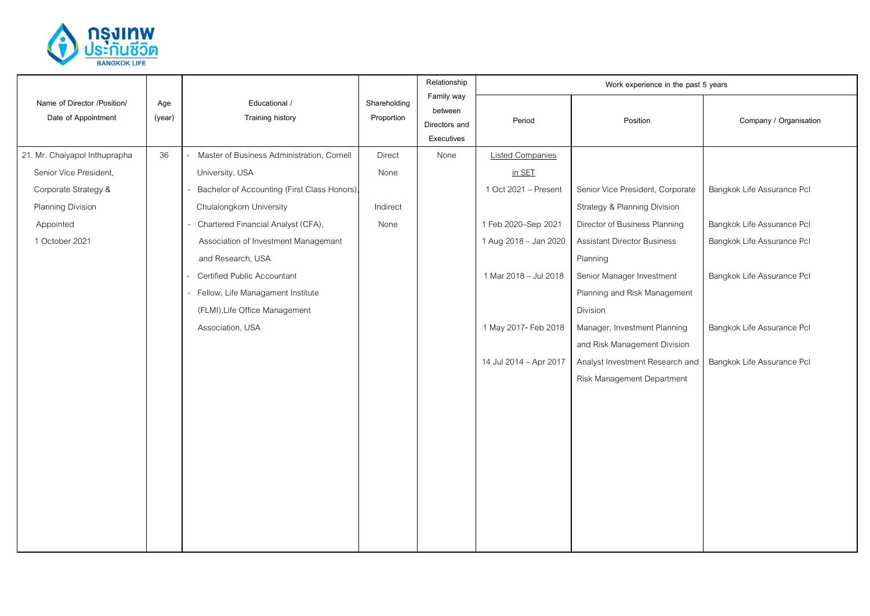

|                                                    |               |                                              |                            | Relationship                                         |                         | Work experience in the past 5 years |                            |
|----------------------------------------------------|---------------|----------------------------------------------|----------------------------|------------------------------------------------------|-------------------------|-------------------------------------|----------------------------|
| Name of Director /Position/<br>Date of Appointment | Age<br>(year) | Educational /<br>Training history            | Shareholding<br>Proportion | Family way<br>between<br>Directors and<br>Executives | Period                  | Position                            | Company / Organisation     |
| 21. Mr. Chaiyapol Inthuprapha                      | 36            | Master of Business Administration, Cornell   | Direct                     | None                                                 | <b>Listed Companies</b> |                                     |                            |
| Senior Vice President,                             |               | University, USA                              | None                       |                                                      | in SET                  |                                     |                            |
| Corporate Strategy &                               |               | Bachelor of Accounting (First Class Honors), |                            |                                                      | 1 Oct 2021 - Present    | Senior Vice President, Corporate    | Bangkok Life Assurance Pcl |
| Planning Division                                  |               | Chulalongkorn University                     | Indirect                   |                                                      |                         | Strategy & Planning Division        |                            |
| Appointed                                          |               | Chartered Financial Analyst (CFA),           | None                       |                                                      | 1 Feb 2020-Sep 2021     | Director of Business Planning       | Bangkok Life Assurance Pcl |
| 1 October 2021                                     |               | Association of Investment Managemant         |                            |                                                      | 1 Aug 2018 - Jan 2020   | <b>Assistant Director Business</b>  | Bangkok Life Assurance Pcl |
|                                                    |               | and Research, USA                            |                            |                                                      |                         | Planning                            |                            |
|                                                    |               | Certified Public Accountant                  |                            |                                                      | 1 Mar 2018 - Jul 2018   | Senior Manager Investment           | Bangkok Life Assurance Pcl |
|                                                    |               | Fellow, Life Managament Institute            |                            |                                                      |                         | Planning and Risk Management        |                            |
|                                                    |               | (FLMI), Life Office Management               |                            |                                                      |                         | Division                            |                            |
|                                                    |               | Association, USA                             |                            |                                                      | 1 May 2017- Feb 2018    | Manager, Investment Planning        | Bangkok Life Assurance Pcl |
|                                                    |               |                                              |                            |                                                      |                         | and Risk Management Division        |                            |
|                                                    |               |                                              |                            |                                                      | 14 Jul 2014 - Apr 2017  | Analyst Investment Research and     | Bangkok Life Assurance Pcl |
|                                                    |               |                                              |                            |                                                      |                         | Risk Management Department          |                            |
|                                                    |               |                                              |                            |                                                      |                         |                                     |                            |
|                                                    |               |                                              |                            |                                                      |                         |                                     |                            |
|                                                    |               |                                              |                            |                                                      |                         |                                     |                            |
|                                                    |               |                                              |                            |                                                      |                         |                                     |                            |
|                                                    |               |                                              |                            |                                                      |                         |                                     |                            |
|                                                    |               |                                              |                            |                                                      |                         |                                     |                            |
|                                                    |               |                                              |                            |                                                      |                         |                                     |                            |
|                                                    |               |                                              |                            |                                                      |                         |                                     |                            |
|                                                    |               |                                              |                            |                                                      |                         |                                     |                            |
|                                                    |               |                                              |                            |                                                      |                         |                                     |                            |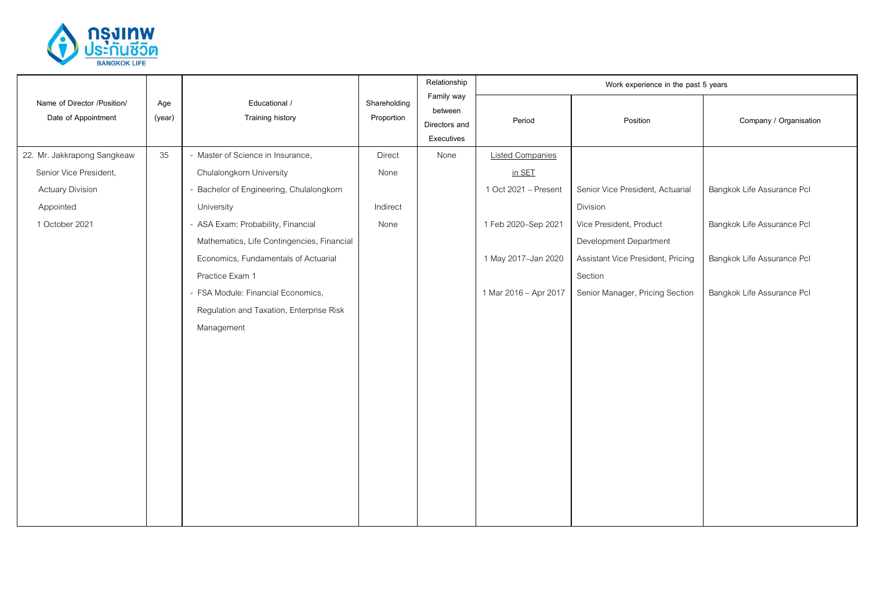

|               |                                            |                            | Relationship                           |                         |                                   |                                     |
|---------------|--------------------------------------------|----------------------------|----------------------------------------|-------------------------|-----------------------------------|-------------------------------------|
| Age<br>(year) | Educational /<br>Training history          | Shareholding<br>Proportion | between<br>Directors and<br>Executives | Period                  | Position                          | Company / Organisation              |
| 35            | - Master of Science in Insurance,          | Direct                     | None                                   | <b>Listed Companies</b> |                                   |                                     |
|               | Chulalongkorn University                   | None                       |                                        | in SET                  |                                   |                                     |
|               | - Bachelor of Engineering, Chulalongkorn   |                            |                                        | 1 Oct 2021 - Present    | Senior Vice President, Actuarial  | Bangkok Life Assurance Pcl          |
|               | University                                 | Indirect                   |                                        |                         | Division                          |                                     |
|               | - ASA Exam: Probability, Financial         | None                       |                                        | 1 Feb 2020-Sep 2021     | Vice President, Product           | Bangkok Life Assurance Pcl          |
|               | Mathematics, Life Contingencies, Financial |                            |                                        |                         | Development Department            |                                     |
|               | Economics, Fundamentals of Actuarial       |                            |                                        | 1 May 2017-Jan 2020     | Assistant Vice President, Pricing | Bangkok Life Assurance Pcl          |
|               | Practice Exam 1                            |                            |                                        |                         | Section                           |                                     |
|               | - FSA Module: Financial Economics,         |                            |                                        | 1 Mar 2016 - Apr 2017   | Senior Manager, Pricing Section   | Bangkok Life Assurance Pcl          |
|               | Regulation and Taxation, Enterprise Risk   |                            |                                        |                         |                                   |                                     |
|               | Management                                 |                            |                                        |                         |                                   |                                     |
|               |                                            |                            |                                        |                         |                                   |                                     |
|               |                                            |                            |                                        |                         |                                   |                                     |
|               |                                            |                            |                                        |                         |                                   |                                     |
|               |                                            |                            |                                        |                         |                                   |                                     |
|               |                                            |                            |                                        |                         |                                   |                                     |
|               |                                            |                            |                                        |                         |                                   |                                     |
|               |                                            |                            |                                        |                         |                                   |                                     |
|               |                                            |                            |                                        |                         |                                   |                                     |
|               |                                            |                            |                                        |                         |                                   |                                     |
|               |                                            |                            |                                        |                         |                                   |                                     |
|               |                                            |                            |                                        |                         |                                   |                                     |
|               |                                            |                            |                                        | Family way              |                                   | Work experience in the past 5 years |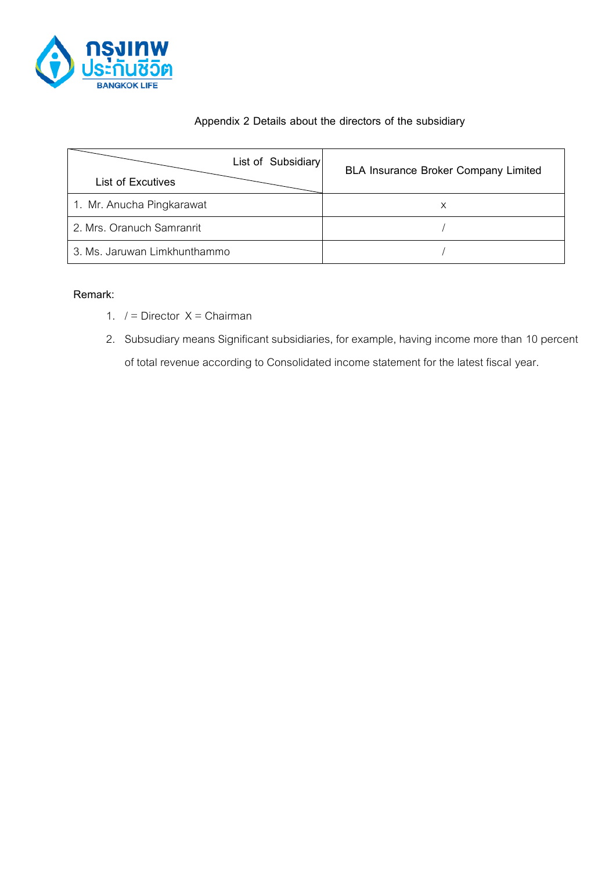

#### **Appendix 2 Details about the directors of the subsidiary**

| List of Subsidiary<br><b>List of Excutives</b> | <b>BLA Insurance Broker Company Limited</b> |
|------------------------------------------------|---------------------------------------------|
| 1. Mr. Anucha Pingkarawat                      | х                                           |
| 2. Mrs. Oranuch Samranrit                      |                                             |
| 3. Ms. Jaruwan Limkhunthammo                   |                                             |

#### **Remark:**

- 1.  $/ =$  Director  $X =$  Chairman
- 2. Subsudiary means Significant subsidiaries, for example, having income more than 10 percent of total revenue according to Consolidated income statement for the latest fiscal year.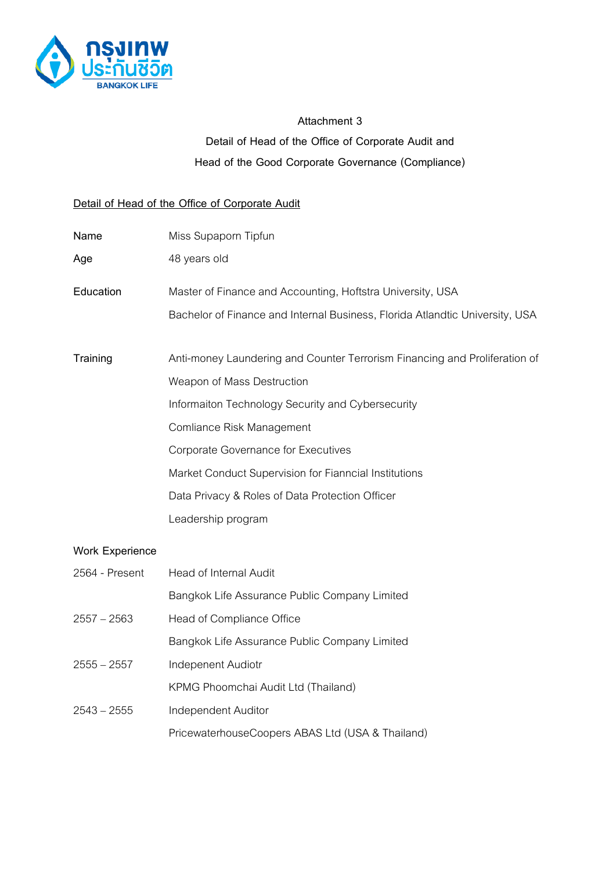

# **Attachment 3 Detail of Head of the Office of Corporate Audit and Head of the Good Corporate Governance (Compliance)**

#### **Detail of Head of the Office of Corporate Audit**

| Name                   | Miss Supaporn Tipfun                                                         |
|------------------------|------------------------------------------------------------------------------|
| Age                    | 48 years old                                                                 |
| Education              | Master of Finance and Accounting, Hoftstra University, USA                   |
|                        | Bachelor of Finance and Internal Business, Florida Atlandtic University, USA |
| Training               | Anti-money Laundering and Counter Terrorism Financing and Proliferation of   |
|                        | Weapon of Mass Destruction                                                   |
|                        | Informaiton Technology Security and Cybersecurity                            |
|                        | Comliance Risk Management                                                    |
|                        | Corporate Governance for Executives                                          |
|                        | Market Conduct Supervision for Fianncial Institutions                        |
|                        | Data Privacy & Roles of Data Protection Officer                              |
|                        | Leadership program                                                           |
| <b>Work Experience</b> |                                                                              |
| 2564 - Present         | Head of Internal Audit                                                       |
|                        | Bangkok Life Assurance Public Company Limited                                |
| $2557 - 2563$          | Head of Compliance Office                                                    |
|                        | Bangkok Life Assurance Public Company Limited                                |
| $2555 - 2557$          | Indepenent Audiotr                                                           |
|                        | KPMG Phoomchai Audit Ltd (Thailand)                                          |
| $2543 - 2555$          | Independent Auditor                                                          |
|                        | PricewaterhouseCoopers ABAS Ltd (USA & Thailand)                             |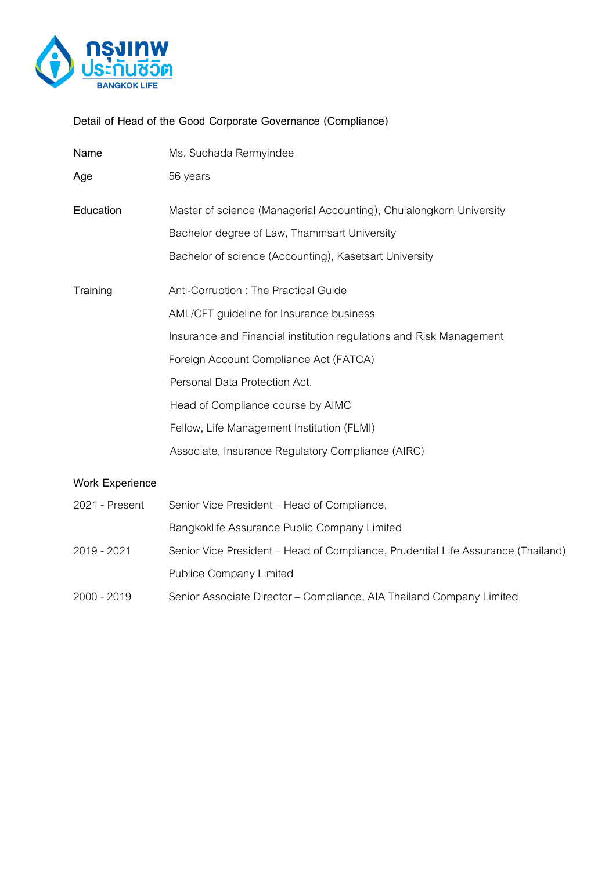

## **Detail of Head of the Good Corporate Governance (Compliance)**

| Name      | Ms. Suchada Rermyindee                                              |
|-----------|---------------------------------------------------------------------|
| Age       | 56 years                                                            |
| Education | Master of science (Managerial Accounting), Chulalongkorn University |
|           | Bachelor degree of Law, Thammsart University                        |
|           | Bachelor of science (Accounting), Kasetsart University              |
|           |                                                                     |
| Training  | Anti-Corruption: The Practical Guide                                |
|           | AML/CFT guideline for Insurance business                            |
|           | Insurance and Financial institution regulations and Risk Management |
|           | Foreign Account Compliance Act (FATCA)                              |
|           | Personal Data Protection Act.                                       |
|           | Head of Compliance course by AIMC                                   |
|           | Fellow, Life Management Institution (FLMI)                          |
|           | Associate, Insurance Regulatory Compliance (AIRC)                   |
|           |                                                                     |

#### **Work Experience**

| 2021 - Present | Senior Vice President – Head of Compliance,                                      |
|----------------|----------------------------------------------------------------------------------|
|                | Bangkoklife Assurance Public Company Limited                                     |
| 2019 - 2021    | Senior Vice President – Head of Compliance, Prudential Life Assurance (Thailand) |
|                | <b>Publice Company Limited</b>                                                   |
| 2000 - 2019    | Senior Associate Director - Compliance, AIA Thailand Company Limited             |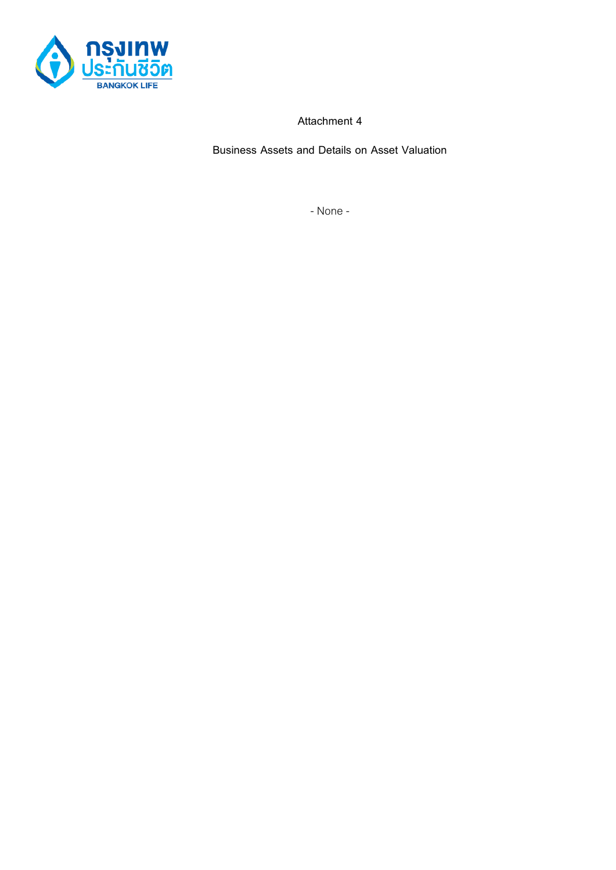

**Attachment 4**

**Business Assets and Details on Asset Valuation**

- None -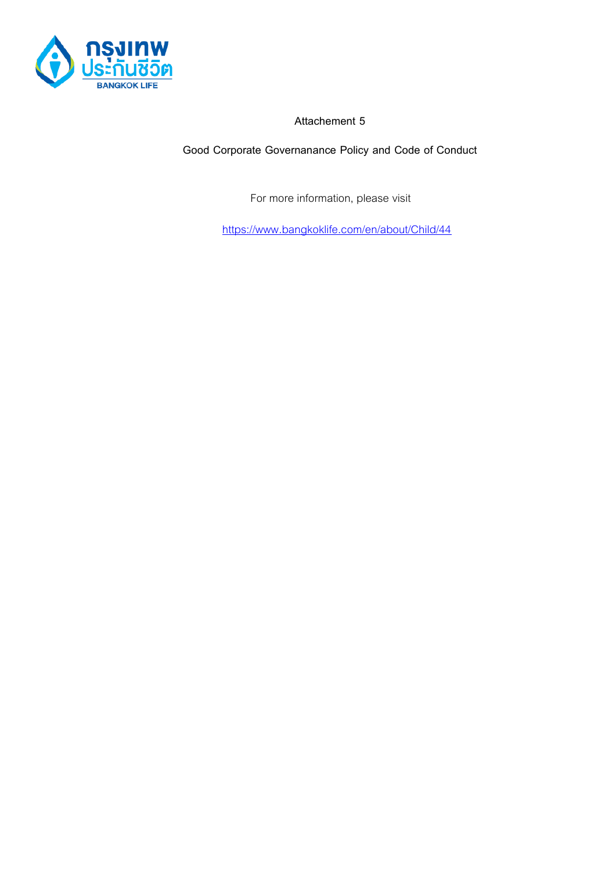

**Attachement 5**

**Good Corporate Governanance Policy and Code of Conduct**

For more information, please visit

<https://www.bangkoklife.com/en/about/Child/44>